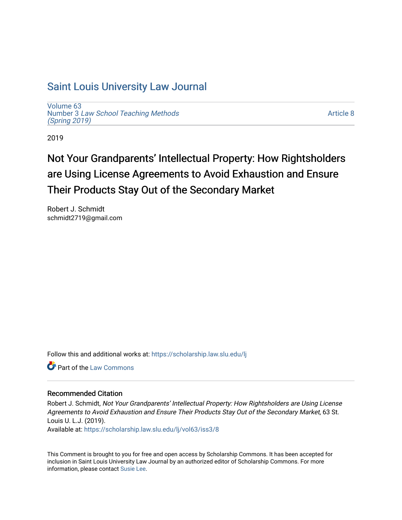## [Saint Louis University Law Journal](https://scholarship.law.slu.edu/lj)

[Volume 63](https://scholarship.law.slu.edu/lj/vol63) Number 3 [Law School Teaching Methods](https://scholarship.law.slu.edu/lj/vol63/iss3)  [\(Spring 2019\)](https://scholarship.law.slu.edu/lj/vol63/iss3)

[Article 8](https://scholarship.law.slu.edu/lj/vol63/iss3/8) 

2019

# Not Your Grandparents' Intellectual Property: How Rightsholders are Using License Agreements to Avoid Exhaustion and Ensure Their Products Stay Out of the Secondary Market

Robert J. Schmidt schmidt2719@gmail.com

Follow this and additional works at: [https://scholarship.law.slu.edu/lj](https://scholarship.law.slu.edu/lj?utm_source=scholarship.law.slu.edu%2Flj%2Fvol63%2Fiss3%2F8&utm_medium=PDF&utm_campaign=PDFCoverPages) 

**C** Part of the [Law Commons](http://network.bepress.com/hgg/discipline/578?utm_source=scholarship.law.slu.edu%2Flj%2Fvol63%2Fiss3%2F8&utm_medium=PDF&utm_campaign=PDFCoverPages)

## Recommended Citation

Robert J. Schmidt, Not Your Grandparents' Intellectual Property: How Rightsholders are Using License Agreements to Avoid Exhaustion and Ensure Their Products Stay Out of the Secondary Market, 63 St. Louis U. L.J. (2019).

Available at: [https://scholarship.law.slu.edu/lj/vol63/iss3/8](https://scholarship.law.slu.edu/lj/vol63/iss3/8?utm_source=scholarship.law.slu.edu%2Flj%2Fvol63%2Fiss3%2F8&utm_medium=PDF&utm_campaign=PDFCoverPages) 

This Comment is brought to you for free and open access by Scholarship Commons. It has been accepted for inclusion in Saint Louis University Law Journal by an authorized editor of Scholarship Commons. For more information, please contact [Susie Lee](mailto:susie.lee@slu.edu).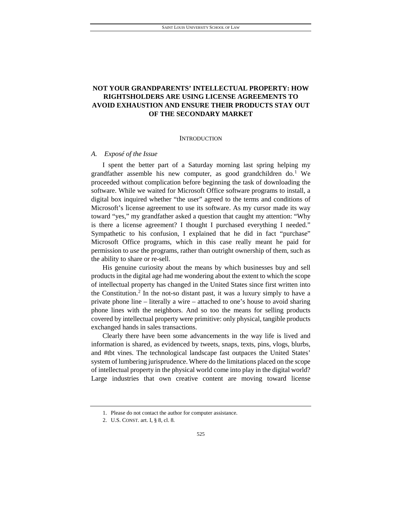## **NOT YOUR GRANDPARENTS' INTELLECTUAL PROPERTY: HOW RIGHTSHOLDERS ARE USING LICENSE AGREEMENTS TO AVOID EXHAUSTION AND ENSURE THEIR PRODUCTS STAY OUT OF THE SECONDARY MARKET**

#### **INTRODUCTION**

#### *A. Exposé of the Issue*

I spent the better part of a Saturday morning last spring helping my grandfather assemble his new computer, as good grandchildren do.<sup>[1](#page-1-0)</sup> We proceeded without complication before beginning the task of downloading the software. While we waited for Microsoft Office software programs to install, a digital box inquired whether "the user" agreed to the terms and conditions of Microsoft's license agreement to use its software. As my cursor made its way toward "yes," my grandfather asked a question that caught my attention: "Why is there a license agreement? I thought I purchased everything I needed." Sympathetic to his confusion, I explained that he did in fact "purchase" Microsoft Office programs, which in this case really meant he paid for permission to *use* the programs, rather than outright ownership of them, such as the ability to share or re-sell.

His genuine curiosity about the means by which businesses buy and sell products in the digital age had me wondering about the extent to which the scope of intellectual property has changed in the United States since first written into the Constitution.[2](#page-1-1) In the not-so distant past, it was a luxury simply to have a private phone line – literally a wire – attached to one's house to avoid sharing phone lines with the neighbors. And so too the means for selling products covered by intellectual property were primitive: only physical, tangible products exchanged hands in sales transactions.

Clearly there have been some advancements in the way life is lived and information is shared, as evidenced by tweets, snaps, texts, pins, vlogs, blurbs, and #tbt vines. The technological landscape fast outpaces the United States' system of lumbering jurisprudence. Where do the limitations placed on the scope of intellectual property in the physical world come into play in the digital world? Large industries that own creative content are moving toward license

<sup>1.</sup> Please do not contact the author for computer assistance.

<span id="page-1-1"></span><span id="page-1-0"></span><sup>2.</sup> U.S. CONST. art. I, § 8, cl. 8.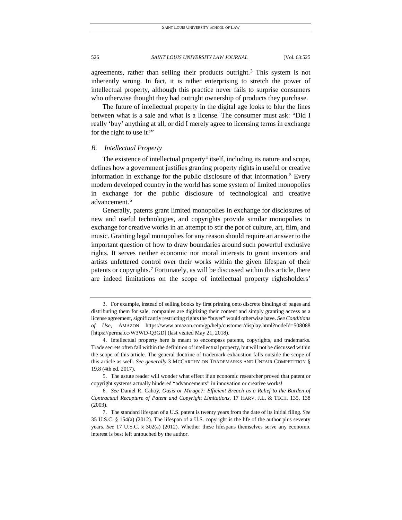agreements, rather than selling their products outright.<sup>[3](#page-2-0)</sup> This system is not inherently wrong. In fact, it is rather enterprising to stretch the power of intellectual property, although this practice never fails to surprise consumers who otherwise thought they had outright ownership of products they purchase.

The future of intellectual property in the digital age looks to blur the lines between what is a sale and what is a license. The consumer must ask: "Did I really 'buy' anything at all, or did I merely agree to licensing terms in exchange for the right to use it?"

#### *B. Intellectual Property*

The existence of intellectual property<sup>[4](#page-2-1)</sup> itself, including its nature and scope, defines how a government justifies granting property rights in useful or creative information in exchange for the public disclosure of that information.<sup>[5](#page-2-2)</sup> Every modern developed country in the world has some system of limited monopolies in exchange for the public disclosure of technological and creative advancement.<sup>[6](#page-2-3)</sup>

Generally, patents grant limited monopolies in exchange for disclosures of new and useful technologies, and copyrights provide similar monopolies in exchange for creative works in an attempt to stir the pot of culture, art, film, and music. Granting legal monopolies for any reason should require an answer to the important question of how to draw boundaries around such powerful exclusive rights. It serves neither economic nor moral interests to grant inventors and artists unfettered control over their works within the given lifespan of their patents or copyrights.[7](#page-2-4) Fortunately, as will be discussed within this article, there are indeed limitations on the scope of intellectual property rightsholders'

<span id="page-2-0"></span><sup>3.</sup> For example, instead of selling books by first printing onto discrete bindings of pages and distributing them for sale, companies are digitizing their content and simply granting access as a license agreement, significantly restricting rights the "buyer" would otherwise have. *See Conditions of Use,* AMAZON https://www.amazon.com/gp/help/customer/display.html?nodeId=508088 [https://perma.cc/W3WD-Q3GD] (last visited May 21, 2018).

<span id="page-2-1"></span><sup>4.</sup> Intellectual property here is meant to encompass patents, copyrights, and trademarks. Trade secrets often fall within the definition of intellectual property, but will not be discussed within the scope of this article. The general doctrine of trademark exhaustion falls outside the scope of this article as well. *See generally* 3 MCCARTHY ON TRADEMARKS AND UNFAIR COMPETITION § 19.8 (4th ed. 2017).

<span id="page-2-2"></span><sup>5.</sup> The astute reader will wonder what effect if an economic researcher proved that patent or copyright systems actually hindered "advancements" in innovation or creative works!

<span id="page-2-3"></span><sup>6</sup>*. See* Daniel R. Cahoy, *Oasis or Mirage?: Efficient Breach as a Relief to the Burden of Contractual Recapture of Patent and Copyright Limitations*, 17 HARV. J.L. & TECH. 135, 138 (2003).

<span id="page-2-4"></span><sup>7.</sup> The standard lifespan of a U.S. patent is twenty years from the date of its initial filing. *See*  35 U.S.C. § 154(a) (2012). The lifespan of a U.S. copyright is the life of the author plus seventy years. *See* 17 U.S.C. § 302(a) (2012). Whether these lifespans themselves serve any economic interest is best left untouched by the author.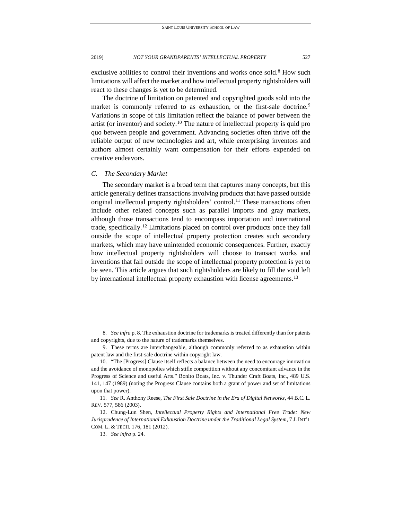exclusive abilities to control their inventions and works once sold.<sup>8</sup> How such limitations will affect the market and how intellectual property rightsholders will react to these changes is yet to be determined.

The doctrine of limitation on patented and copyrighted goods sold into the market is commonly referred to as exhaustion, or the first-sale doctrine.<sup>[9](#page-3-1)</sup> Variations in scope of this limitation reflect the balance of power between the artist (or inventor) and society.[10](#page-3-2) The nature of intellectual property is quid pro quo between people and government. Advancing societies often thrive off the reliable output of new technologies and art, while enterprising inventors and authors almost certainly want compensation for their efforts expended on creative endeavors.

#### *C. The Secondary Market*

The secondary market is a broad term that captures many concepts, but this article generally defines transactions involving products that have passed outside original intellectual property rightsholders' control.<sup>[11](#page-3-3)</sup> These transactions often include other related concepts such as parallel imports and gray markets, although those transactions tend to encompass importation and international trade, specifically.[12](#page-3-4) Limitations placed on control over products once they fall outside the scope of intellectual property protection creates such secondary markets, which may have unintended economic consequences. Further, exactly how intellectual property rightsholders will choose to transact works and inventions that fall outside the scope of intellectual property protection is yet to be seen. This article argues that such rightsholders are likely to fill the void left by international intellectual property exhaustion with license agreements.<sup>[13](#page-3-5)</sup>

<span id="page-3-0"></span><sup>8</sup>*. See infra* p. 8. The exhaustion doctrine for trademarks is treated differently than for patents and copyrights, due to the nature of trademarks themselves.

<span id="page-3-1"></span><sup>9.</sup> These terms are interchangeable, although commonly referred to as exhaustion within patent law and the first-sale doctrine within copyright law.

<span id="page-3-2"></span><sup>10.</sup> "The [Progress] Clause itself reflects a balance between the need to encourage innovation and the avoidance of monopolies which stifle competition without any concomitant advance in the Progress of Science and useful Arts." Bonito Boats, Inc. v. Thunder Craft Boats, Inc., 489 U.S. 141, 147 (1989) (noting the Progress Clause contains both a grant of power and set of limitations upon that power).

<span id="page-3-3"></span><sup>11</sup>*. See* R. Anthony Reese, *The First Sale Doctrine in the Era of Digital Networks*, 44 B.C. L. REV. 577, 586 (2003).

<span id="page-3-5"></span><span id="page-3-4"></span><sup>12.</sup> Chung-Lun Shen, *Intellectual Property Rights and International Free Trade: New Jurisprudence of International Exhaustion Doctrine under the Traditional Legal System*, 7 J. INT'L COM. L. & TECH. 176, 181 (2012).

<sup>13</sup>*. See infra* p. 24.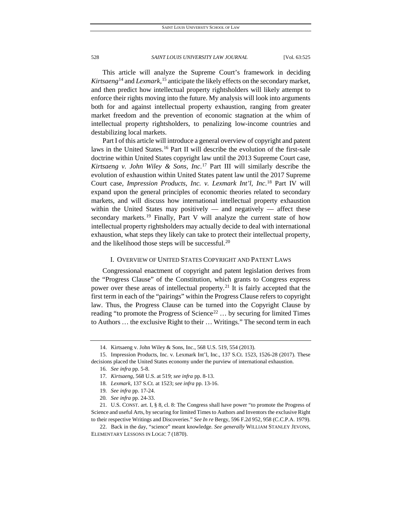This article will analyze the Supreme Court's framework in deciding *Kirtsaeng*[14](#page-4-0) and *Lexmark*, [15](#page-4-1) anticipate the likely effects on the secondary market, and then predict how intellectual property rightsholders will likely attempt to enforce their rights moving into the future. My analysis will look into arguments both for and against intellectual property exhaustion, ranging from greater market freedom and the prevention of economic stagnation at the whim of intellectual property rightsholders, to penalizing low-income countries and destabilizing local markets.

Part I of this article will introduce a general overview of copyright and patent laws in the United States[.16](#page-4-2) Part II will describe the evolution of the first-sale doctrine within United States copyright law until the 2013 Supreme Court case, *Kirtsaeng v. John Wiley & Sons, Inc*. [17](#page-4-3) Part III will similarly describe the evolution of exhaustion within United States patent law until the 2017 Supreme Court case, *Impression Products, Inc. v. Lexmark Int'l, Inc*. [18](#page-4-4) Part IV will expand upon the general principles of economic theories related to secondary markets, and will discuss how international intellectual property exhaustion within the United States may positively  $-$  and negatively  $-$  affect these secondary markets.<sup>[19](#page-4-5)</sup> Finally, Part V will analyze the current state of how intellectual property rightsholders may actually decide to deal with international exhaustion, what steps they likely can take to protect their intellectual property, and the likelihood those steps will be successful.[20](#page-4-6)

#### I. OVERVIEW OF UNITED STATES COPYRIGHT AND PATENT LAWS

Congressional enactment of copyright and patent legislation derives from the "Progress Clause" of the Constitution, which grants to Congress express power over these areas of intellectual property.<sup>[21](#page-4-7)</sup> It is fairly accepted that the first term in each of the "pairings" within the Progress Clause refers to copyright law. Thus, the Progress Clause can be turned into the Copyright Clause by reading "to promote the Progress of Science<sup>[22](#page-4-8)</sup> ... by securing for limited Times to Authors … the exclusive Right to their … Writings." The second term in each

<sup>14.</sup> Kirtsaeng v. John Wiley & Sons, Inc., 568 U.S. 519, 554 (2013).

<span id="page-4-3"></span><span id="page-4-2"></span><span id="page-4-1"></span><span id="page-4-0"></span><sup>15.</sup> Impression Products, Inc. v. Lexmark Int'l, Inc., 137 S.Ct. 1523, 1526-28 (2017). These decisions placed the United States economy under the purview of international exhaustion.

<sup>16</sup>*. See infra* pp. 5-8.

<sup>17</sup>*. Kirtsaeng*, 568 U.S. at 519; *see infra* pp. 8-13.

<sup>18</sup>*. Lexmark*, 137 S.Ct. at 1523; *see infra* pp. 13-16.

<sup>19</sup>*. See infra* pp. 17-24.

<sup>20</sup>*. See infra* pp. 24-33.

<span id="page-4-7"></span><span id="page-4-6"></span><span id="page-4-5"></span><span id="page-4-4"></span><sup>21.</sup> U.S. CONST. art. I, § 8, cl. 8: The Congress shall have power "to promote the Progress of Science and useful Arts, by securing for limited Times to Authors and Inventors the exclusive Right to their respective Writings and Discoveries." *See In re* Bergy, 596 F.2d 952, 958 (C.C.P.A. 1979).

<span id="page-4-8"></span><sup>22.</sup> Back in the day, "science" meant knowledge. *See generally* WILLIAM STANLEY JEVONS, ELEMENTARY LESSONS IN LOGIC 7 (1870).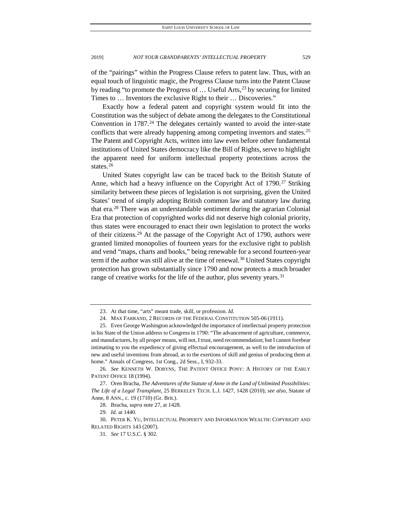of the "pairings" within the Progress Clause refers to patent law. Thus, with an equal touch of linguistic magic, the Progress Clause turns into the Patent Clause by reading "to promote the Progress of  $\ldots$  Useful Arts,<sup>[23](#page-5-0)</sup> by securing for limited Times to … Inventors the exclusive Right to their … Discoveries."

Exactly how a federal patent and copyright system would fit into the Constitution was the subject of debate among the delegates to the Constitutional Convention in  $1787<sup>24</sup>$  $1787<sup>24</sup>$  $1787<sup>24</sup>$  The delegates certainly wanted to avoid the inter-state conflicts that were already happening among competing inventors and states.<sup>[25](#page-5-2)</sup> The Patent and Copyright Acts, written into law even before other fundamental institutions of United States democracy like the Bill of Rights, serve to highlight the apparent need for uniform intellectual property protections across the states.<sup>[26](#page-5-3)</sup>

United States copyright law can be traced back to the British Statute of Anne, which had a heavy influence on the Copyright Act of  $1790$ <sup>[27](#page-5-4)</sup> Striking similarity between these pieces of legislation is not surprising, given the United States' trend of simply adopting British common law and statutory law during that era.[28](#page-5-5) There was an understandable sentiment during the agrarian Colonial Era that protection of copyrighted works did not deserve high colonial priority, thus states were encouraged to enact their own legislation to protect the works of their citizens.[29](#page-5-6) At the passage of the Copyright Act of 1790, authors were granted limited monopolies of fourteen years for the exclusive right to publish and vend "maps, charts and books," being renewable for a second fourteen-year term if the author was still alive at the time of renewal.<sup>[30](#page-5-7)</sup> United States copyright protection has grown substantially since 1790 and now protects a much broader range of creative works for the life of the author, plus seventy years.<sup>[31](#page-5-8)</sup>

<sup>23.</sup> At that time, "arts" meant trade, skill, or profession. *Id.*

<sup>24.</sup> MAX FARRAND, 2 RECORDS OF THE FEDERAL CONSTITUTION 505-06 (1911).

<span id="page-5-2"></span><span id="page-5-1"></span><span id="page-5-0"></span><sup>25.</sup> Even George Washington acknowledged the importance of intellectual property protection in his State of the Union address to Congress in 1790: "The advancement of agriculture, commerce, and manufactures, by all proper means, will not, I trust, need recommendation; but I cannot forebear intimating to you the expediency of giving effectual encouragement, as well to the introduction of new and useful inventions from abroad, as to the exertions of skill and genius of producing them at home." Annals of Congress, 1st Cong., 2d Sess., I, 932-33.

<span id="page-5-3"></span><sup>26</sup>*. See* KENNETH W. DOBYNS, THE PATENT OFFICE PONY: A HISTORY OF THE EARLY PATENT OFFICE 18 (1994).

<span id="page-5-4"></span><sup>27.</sup> Oren Bracha, *The Adventures of the Statute of Anne in the Land of Unlimited Possibilities: The Life of a Legal Transplant*, 25 BERKELEY TECH. L.J. 1427, 1428 (2010); *see also,* Statute of Anne, 8 ANN., c. 19 (1710) (Gr. Brit.).

<sup>28.</sup> Bracha, *supra* note 27, at 1428.

<sup>29</sup>*. Id.* at 1440.

<span id="page-5-8"></span><span id="page-5-7"></span><span id="page-5-6"></span><span id="page-5-5"></span><sup>30.</sup> PETER K. YU, INTELLECTUAL PROPERTY AND INFORMATION WEALTH: COPYRIGHT AND RELATED RIGHTS 143 (2007).

<sup>31</sup>*. See* 17 U.S.C. § 302.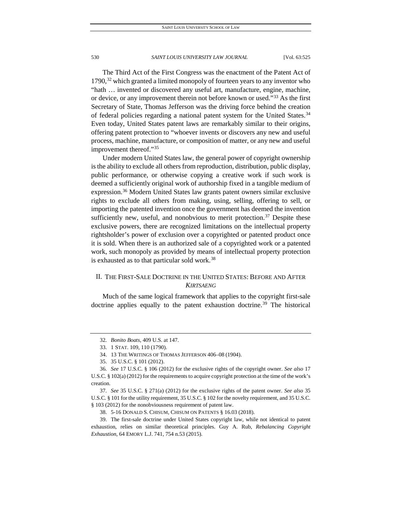The Third Act of the First Congress was the enactment of the Patent Act of  $1790<sup>32</sup>$  $1790<sup>32</sup>$  $1790<sup>32</sup>$  which granted a limited monopoly of fourteen years to any inventor who "hath … invented or discovered any useful art, manufacture, engine, machine, or device, or any improvement therein not before known or used."[33](#page-6-1) As the first Secretary of State, Thomas Jefferson was the driving force behind the creation of federal policies regarding a national patent system for the United States.<sup>[34](#page-6-2)</sup> Even today, United States patent laws are remarkably similar to their origins, offering patent protection to "whoever invents or discovers any new and useful process, machine, manufacture, or composition of matter, or any new and useful improvement thereof."[35](#page-6-3)

Under modern United States law, the general power of copyright ownership is the ability to exclude all others from reproduction, distribution, public display, public performance, or otherwise copying a creative work if such work is deemed a sufficiently original work of authorship fixed in a tangible medium of expression.[36](#page-6-4) Modern United States law grants patent owners similar exclusive rights to exclude all others from making, using, selling, offering to sell, or importing the patented invention once the government has deemed the invention sufficiently new, useful, and nonobvious to merit protection.<sup>[37](#page-6-5)</sup> Despite these exclusive powers, there are recognized limitations on the intellectual property rightsholder's power of exclusion over a copyrighted or patented product once it is sold. When there is an authorized sale of a copyrighted work or a patented work, such monopoly as provided by means of intellectual property protection is exhausted as to that particular sold work.<sup>[38](#page-6-6)</sup>

## II. THE FIRST-SALE DOCTRINE IN THE UNITED STATES: BEFORE AND AFTER *KIRTSAENG*

Much of the same logical framework that applies to the copyright first-sale doctrine applies equally to the patent exhaustion doctrine.<sup>[39](#page-6-7)</sup> The historical

<sup>32</sup>*. Bonito Boats*, 409 U.S. at 147.

<sup>33.</sup> 1 STAT. 109, 110 (1790).

<sup>34.</sup> 13 THE WRITINGS OF THOMAS JEFFERSON 406–08 (1904).

<sup>35.</sup> 35 U.S.C. § 101 (2012).

<span id="page-6-4"></span><span id="page-6-3"></span><span id="page-6-2"></span><span id="page-6-1"></span><span id="page-6-0"></span><sup>36</sup>*. See* 17 U.S.C. § 106 (2012) for the exclusive rights of the copyright owner. *See also* 17 U.S.C. § 102(a) (2012) for the requirements to acquire copyright protection at the time of the work's creation.

<span id="page-6-5"></span><sup>37</sup>*. See* 35 U.S.C. § 271(a) (2012) for the exclusive rights of the patent owner. *See also* 35 U.S.C. § 101 for the utility requirement, 35 U.S.C. § 102 for the novelty requirement, and 35 U.S.C. § 103 (2012) for the nonobviousness requirement of patent law.

<sup>38.</sup> 5-16 DONALD S. CHISUM, CHISUM ON PATENTS § 16.03 (2018).

<span id="page-6-7"></span><span id="page-6-6"></span><sup>39.</sup> The first-sale doctrine under United States copyright law, while not identical to patent exhaustion, relies on similar theoretical principles. Guy A. Rub, *Rebalancing Copyright Exhaustion*, 64 EMORY L.J. 741, 754 n.53 (2015).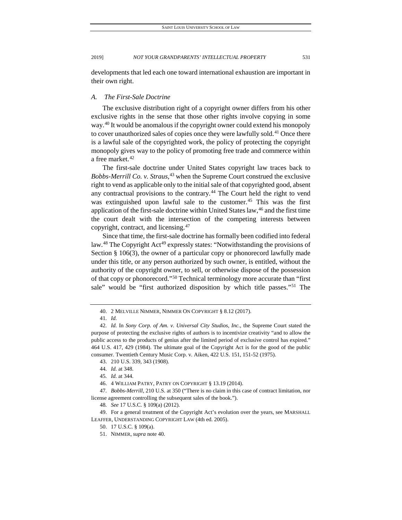developments that led each one toward international exhaustion are important in their own right.

#### *A. The First-Sale Doctrine*

The exclusive distribution right of a copyright owner differs from his other exclusive rights in the sense that those other rights involve copying in some way.<sup>[40](#page-7-0)</sup> It would be anomalous if the copyright owner could extend his monopoly to cover unauthorized sales of copies once they were lawfully sold.<sup>[41](#page-7-1)</sup> Once there is a lawful sale of the copyrighted work, the policy of protecting the copyright monopoly gives way to the policy of promoting free trade and commerce within a free market.<sup>[42](#page-7-2)</sup>

The first-sale doctrine under United States copyright law traces back to *Bobbs-Merrill Co. v. Straus*, [43](#page-7-3) when the Supreme Court construed the exclusive right to vend as applicable only to the initial sale of that copyrighted good, absent any contractual provisions to the contrary.<sup>[44](#page-7-4)</sup> The Court held the right to vend was extinguished upon lawful sale to the customer.<sup>[45](#page-7-5)</sup> This was the first application of the first-sale doctrine within United States law,<sup>[46](#page-7-6)</sup> and the first time the court dealt with the intersection of the competing interests between copyright, contract, and licensing.[47](#page-7-7)

Since that time, the first-sale doctrine has formally been codified into federal law.<sup>[48](#page-7-8)</sup> The Copyright Act<sup>[49](#page-7-9)</sup> expressly states: "Notwithstanding the provisions of Section § 106(3), the owner of a particular copy or phonorecord lawfully made under this title, or any person authorized by such owner, is entitled, without the authority of the copyright owner, to sell, or otherwise dispose of the possession of that copy or phonorecord."[50](#page-7-10) Technical terminology more accurate than "first sale" would be "first authorized disposition by which title passes."[51](#page-7-11) The

<sup>40.</sup> 2 MELVILLE NIMMER, NIMMER ON COPYRIGHT § 8.12 (2017).

<sup>41</sup>*. Id.*

<span id="page-7-2"></span><span id="page-7-1"></span><span id="page-7-0"></span><sup>42</sup>*. Id.* In *Sony Corp. of Am. v. Universal City Studios, Inc.*, the Supreme Court stated the purpose of protecting the exclusive rights of authors is to incentivize creativity "and to allow the public access to the products of genius after the limited period of exclusive control has expired." 464 U.S. 417, 429 (1984). The ultimate goal of the Copyright Act is for the good of the public consumer. Twentieth Century Music Corp. v. Aiken, 422 U.S. 151, 151-52 (1975).

<sup>43.</sup> 210 U.S. 339, 343 (1908).

<sup>44</sup>*. Id.* at 348.

<sup>45</sup>*. Id.* at 344.

<sup>46.</sup> 4 WILLIAM PATRY, PATRY ON COPYRIGHT § 13.19 (2014).

<span id="page-7-7"></span><span id="page-7-6"></span><span id="page-7-5"></span><span id="page-7-4"></span><span id="page-7-3"></span><sup>47</sup>*. Bobbs-Merrill*, 210 U.S. at 350 ("There is no claim in this case of contract limitation, nor license agreement controlling the subsequent sales of the book.").

<sup>48</sup>*. See* 17 U.S.C. § 109(a) (2012).

<span id="page-7-11"></span><span id="page-7-10"></span><span id="page-7-9"></span><span id="page-7-8"></span><sup>49.</sup> For a general treatment of the Copyright Act's evolution over the years, see MARSHALL LEAFFER, UNDERSTANDING COPYRIGHT LAW (4th ed. 2005).

<sup>50.</sup> 17 U.S.C. § 109(a).

<sup>51.</sup> NIMMER, *supra* note 40.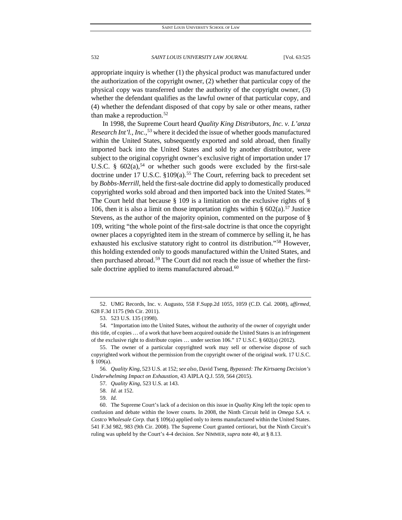appropriate inquiry is whether (1) the physical product was manufactured under the authorization of the copyright owner, (2) whether that particular copy of the physical copy was transferred under the authority of the copyright owner, (3) whether the defendant qualifies as the lawful owner of that particular copy, and (4) whether the defendant disposed of that copy by sale or other means, rather than make a reproduction.<sup>[52](#page-8-0)</sup>

In 1998, the Supreme Court heard *Quality King Distributors, Inc. v. L'anza Research Int'l., Inc.*, [53](#page-8-1) where it decided the issue of whether goods manufactured within the United States, subsequently exported and sold abroad, then finally imported back into the United States and sold by another distributor, were subject to the original copyright owner's exclusive right of importation under 17 U.S.C. §  $602(a)$ <sup>54</sup> or whether such goods were excluded by the first-sale doctrine under 17 U.S.C.  $$109(a).$ <sup>[55](#page-8-3)</sup> The Court, referring back to precedent set by *Bobbs-Merrill*, held the first-sale doctrine did apply to domestically produced copyrighted works sold abroad and then imported back into the United States.<sup>[56](#page-8-4)</sup> The Court held that because  $\S$  109 is a limitation on the exclusive rights of  $\S$ 106, then it is also a limit on those importation rights within  $\S 602(a)$ .<sup>[57](#page-8-5)</sup> Justice Stevens, as the author of the majority opinion, commented on the purpose of § 109, writing "the whole point of the first-sale doctrine is that once the copyright owner places a copyrighted item in the stream of commerce by selling it, he has exhausted his exclusive statutory right to control its distribution."[58](#page-8-6) However, this holding extended only to goods manufactured within the United States, and then purchased abroad.<sup>[59](#page-8-7)</sup> The Court did not reach the issue of whether the first-sale doctrine applied to items manufactured abroad.<sup>[60](#page-8-8)</sup>

<span id="page-8-0"></span><sup>52.</sup> UMG Records, Inc. v. Augusto, 558 F.Supp.2d 1055, 1059 (C.D. Cal. 2008), a*ffirmed*, 628 F.3d 1175 (9th Cir. 2011).

<sup>53.</sup> 523 U.S. 135 (1998).

<span id="page-8-2"></span><span id="page-8-1"></span><sup>54.</sup> "Importation into the United States, without the authority of the owner of copyright under this title, of copies … of a work that have been acquired outside the United States is an infringement of the exclusive right to distribute copies … under section 106." 17 U.S.C. § 602(a) (2012).

<span id="page-8-3"></span><sup>55.</sup> The owner of a particular copyrighted work may sell or otherwise dispose of such copyrighted work without the permission from the copyright owner of the original work. 17 U.S.C. § 109(a).

<span id="page-8-5"></span><span id="page-8-4"></span><sup>56</sup>*. Quality King*, 523 U.S. at 152; *see also,* David Tseng, *Bypassed: The Kirtsaeng Decision's Underwhelming Impact on Exhaustion*, 43 AIPLA Q.J. 559, 564 (2015).

<sup>57</sup>*. Quality King*, 523 U.S. at 143.

<sup>58</sup>*. Id.* at 152.

<sup>59</sup>*. Id.*

<span id="page-8-8"></span><span id="page-8-7"></span><span id="page-8-6"></span><sup>60.</sup> The Supreme Court's lack of a decision on this issue in *Quality King* left the topic open to confusion and debate within the lower courts. In 2008, the Ninth Circuit held in *Omega S.A. v. Costco Wholesale Corp.* that § 109(a) applied only to items manufactured within the United States. 541 F.3d 982, 983 (9th Cir. 2008). The Supreme Court granted certiorari, but the Ninth Circuit's ruling was upheld by the Court's 4-4 decision. *See* NIMMER, *supra* note 40, at § 8.13.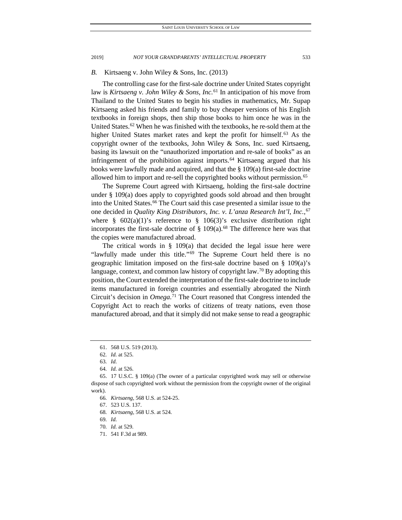#### *B.* Kirtsaeng v. John Wiley & Sons, Inc. (2013)

The controlling case for the first-sale doctrine under United States copyright law is *Kirtsaeng v. John Wiley & Sons, Inc.*[61](#page-9-0) In anticipation of his move from Thailand to the United States to begin his studies in mathematics, Mr. Supap Kirtsaeng asked his friends and family to buy cheaper versions of his English textbooks in foreign shops, then ship those books to him once he was in the United States.<sup>[62](#page-9-1)</sup> When he was finished with the textbooks, he re-sold them at the higher United States market rates and kept the profit for himself.<sup>[63](#page-9-2)</sup> As the copyright owner of the textbooks, John Wiley & Sons, Inc. sued Kirtsaeng, basing its lawsuit on the "unauthorized importation and re-sale of books" as an infringement of the prohibition against imports.[64](#page-9-3) Kirtsaeng argued that his books were lawfully made and acquired, and that the § 109(a) first-sale doctrine allowed him to import and re-sell the copyrighted books without permission.<sup>[65](#page-9-4)</sup>

The Supreme Court agreed with Kirtsaeng, holding the first-sale doctrine under § 109(a) does apply to copyrighted goods sold abroad and then brought into the United States.<sup>[66](#page-9-5)</sup> The Court said this case presented a similar issue to the one decided in *Quality King Distributors, Inc. v. L'anza Research Int'l, Inc.*, [67](#page-9-6) where §  $602(a)(1)$ 's reference to §  $106(3)$ 's exclusive distribution right incorporates the first-sale doctrine of  $\S$  109(a).<sup>[68](#page-9-7)</sup> The difference here was that the copies were manufactured abroad.

The critical words in  $\S$  109(a) that decided the legal issue here were "lawfully made under this title."<sup>[69](#page-9-8)</sup> The Supreme Court held there is no geographic limitation imposed on the first-sale doctrine based on  $\S$  109(a)'s language, context, and common law history of copyright law.<sup>[70](#page-9-9)</sup> By adopting this position, the Court extended the interpretation of the first-sale doctrine to include items manufactured in foreign countries and essentially abrogated the Ninth Circuit's decision in *Omega*. [71](#page-9-10) The Court reasoned that Congress intended the Copyright Act to reach the works of citizens of treaty nations, even those manufactured abroad, and that it simply did not make sense to read a geographic

64*. Id.* at 526.

<sup>61.</sup> 568 U.S. 519 (2013).

<sup>62</sup>*. Id.* at 525.

<sup>63</sup>*. Id.*

<span id="page-9-7"></span><span id="page-9-6"></span><span id="page-9-5"></span><span id="page-9-4"></span><span id="page-9-3"></span><span id="page-9-2"></span><span id="page-9-1"></span><span id="page-9-0"></span><sup>65.</sup> 17 U.S.C. § 109(a) (The owner of a particular copyrighted work may sell or otherwise dispose of such copyrighted work without the permission from the copyright owner of the original work).

<sup>66</sup>*. Kirtsaeng*, 568 U.S. at 524-25.

<sup>67.</sup> 523 U.S. 137.

<sup>68</sup>*. Kirtsaeng*, 568 U.S. at 524.

<span id="page-9-9"></span><span id="page-9-8"></span><sup>69</sup>*. Id.*

<span id="page-9-10"></span><sup>70</sup>*. Id.* at 529.

<sup>71.</sup> 541 F.3d at 989.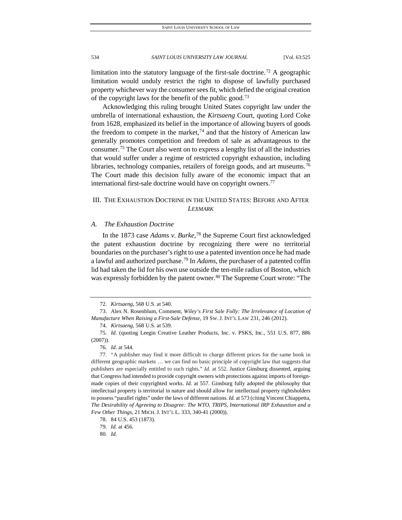limitation into the statutory language of the first-sale doctrine.<sup>[72](#page-10-0)</sup> A geographic limitation would unduly restrict the right to dispose of lawfully purchased property whichever way the consumer sees fit, which defied the original creation of the copyright laws for the benefit of the public good[.73](#page-10-1)

Acknowledging this ruling brought United States copyright law under the umbrella of international exhaustion, the *Kirtsaeng* Court, quoting Lord Coke from 1628, emphasized its belief in the importance of allowing buyers of goods the freedom to compete in the market,<sup>[74](#page-10-2)</sup> and that the history of American law generally promotes competition and freedom of sale as advantageous to the consumer.[75](#page-10-3) The Court also went on to express a lengthy list of all the industries that would suffer under a regime of restricted copyright exhaustion, including libraries, technology companies, retailers of foreign goods, and art museums.<sup>[76](#page-10-4)</sup> The Court made this decision fully aware of the economic impact that an international first-sale doctrine would have on copyright owners.<sup>[77](#page-10-5)</sup>

## III. THE EXHAUSTION DOCTRINE IN THE UNITED STATES: BEFORE AND AFTER *LEXMARK*

#### *A. The Exhaustion Doctrine*

In the 1873 case *Adams v. Burke*, [78](#page-10-6) the Supreme Court first acknowledged the patent exhaustion doctrine by recognizing there were no territorial boundaries on the purchaser's right to use a patented invention once he had made a lawful and authorized purchase.[79](#page-10-7) In *Adams*, the purchaser of a patented coffin lid had taken the lid for his own use outside the ten-mile radius of Boston, which was expressly forbidden by the patent owner.<sup>[80](#page-10-8)</sup> The Supreme Court wrote: "The

74*. Kirtsaeng*, 568 U.S. at 539.

<sup>72</sup>*. Kirtsaeng*, 568 U.S. at 540.

<span id="page-10-1"></span><span id="page-10-0"></span><sup>73.</sup> Alex N. Rosenblum, Comment, *Wiley's First Sale Folly: The Irrelevance of Location of Manufacture When Raising a First-Sale Defense*, 19 SW. J. INT'L LAW 231, 246 (2012).

<span id="page-10-3"></span><span id="page-10-2"></span><sup>75</sup>*. Id.* (quoting Leegin Creative Leather Products, Inc. v. PSKS, Inc., 551 U.S. 877, 886 (2007)).

<sup>76</sup>*. Id.* at 544.

<span id="page-10-5"></span><span id="page-10-4"></span><sup>77.</sup> "A publisher may find it more difficult to charge different prices for the same book in different geographic markets … we can find no basic principle of copyright law that suggests that publishers are especially entitled to such rights." *Id.* at 552. Justice Ginsburg dissented, arguing that Congress had intended to provide copyright owners with protections against imports of foreignmade copies of their copyrighted works. *Id.* at 557. Ginsburg fully adopted the philosophy that intellectual property is territorial in nature and should allow for intellectual property rightsholders to possess "parallel rights" under the laws of different nations. *Id.* at 573 (citing Vincent Chiappetta, *The Desirability of Agreeing to Disagree: The WTO, TRIPS, International IRP Exhaustion and a Few Other Things*, 21 MICH. J. INT'L L. 333, 340-41 (2000)).

<span id="page-10-6"></span><sup>78.</sup> 84 U.S. 453 (1873).

<span id="page-10-8"></span><span id="page-10-7"></span><sup>79</sup>*. Id.* at 456.

<sup>80</sup>*. Id.*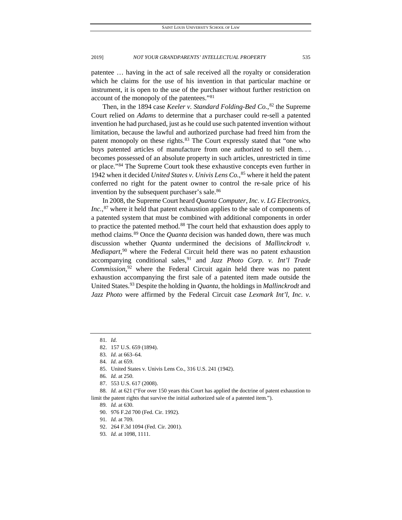patentee … having in the act of sale received all the royalty or consideration which he claims for the use of his invention in that particular machine or instrument, it is open to the use of the purchaser without further restriction on account of the monopoly of the patentees."[81](#page-11-0)

Then, in the 1894 case *Keeler v. Standard Folding-Bed Co.*, [82](#page-11-1) the Supreme Court relied on *Adams* to determine that a purchaser could re-sell a patented invention he had purchased, just as he could use such patented invention without limitation, because the lawful and authorized purchase had freed him from the patent monopoly on these rights.<sup>[83](#page-11-2)</sup> The Court expressly stated that "one who buys patented articles of manufacture from one authorized to sell them. . . becomes possessed of an absolute property in such articles, unrestricted in time or place."[84](#page-11-3) The Supreme Court took these exhaustive concepts even further in 1942 when it decided *United States v. Univis Lens Co.*, [85](#page-11-4) where it held the patent conferred no right for the patent owner to control the re-sale price of his invention by the subsequent purchaser's sale.<sup>[86](#page-11-5)</sup>

In 2008, the Supreme Court heard *Quanta Computer, Inc. v. LG Electronics, Inc.*, [87](#page-11-6) where it held that patent exhaustion applies to the sale of components of a patented system that must be combined with additional components in order to practice the patented method.<sup>[88](#page-11-7)</sup> The court held that exhaustion does apply to method claims.<sup>[89](#page-11-8)</sup> Once the *Quanta* decision was handed down, there was much discussion whether *Quanta* undermined the decisions of *Mallinckrodt v. Mediapart*, [90](#page-11-9) where the Federal Circuit held there was no patent exhaustion accompanying conditional sales,[91](#page-11-10) and *Jazz Photo Corp. v. Int'l Trade Commission*, [92](#page-11-11) where the Federal Circuit again held there was no patent exhaustion accompanying the first sale of a patented item made outside the United States.[93](#page-11-12) Despite the holding in *Quanta*, the holdings in *Mallinckrodt* and *Jazz Photo* were affirmed by the Federal Circuit case *Lexmark Int'l, Inc. v.* 

- 92. 264 F.3d 1094 (Fed. Cir. 2001).
- <span id="page-11-12"></span>93*. Id.* at 1098, 1111.

<span id="page-11-0"></span><sup>81</sup>*. Id.*

<span id="page-11-1"></span><sup>82.</sup> 157 U.S. 659 (1894).

<sup>83</sup>*. Id.* at 663–64.

<sup>84</sup>*. Id.* at 659.

<sup>85.</sup> United States v. Univis Lens Co., 316 U.S. 241 (1942).

<sup>86</sup>*. Id.* at 250.

<sup>87.</sup> 553 U.S. 617 (2008).

<span id="page-11-11"></span><span id="page-11-10"></span><span id="page-11-9"></span><span id="page-11-8"></span><span id="page-11-7"></span><span id="page-11-6"></span><span id="page-11-5"></span><span id="page-11-4"></span><span id="page-11-3"></span><span id="page-11-2"></span><sup>88</sup>*. Id.* at 621 ("For over 150 years this Court has applied the doctrine of patent exhaustion to limit the patent rights that survive the initial authorized sale of a patented item.").

<sup>89</sup>*. Id.* at 630.

<sup>90.</sup> 976 F.2d 700 (Fed. Cir. 1992).

<sup>91</sup>*. Id.* at 709.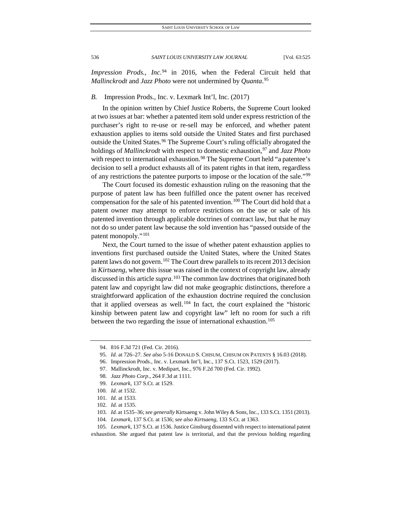*Impression Prods., Inc.*<sup>[94](#page-12-0)</sup> in 2016, when the Federal Circuit held that *Mallinckrodt* and *Jazz Photo* were not undermined by *Quanta*. [95](#page-12-1)

#### *B.* Impression Prods., Inc. v. Lexmark Int'l, Inc. (2017)

In the opinion written by Chief Justice Roberts, the Supreme Court looked at two issues at bar: whether a patented item sold under express restriction of the purchaser's right to re-use or re-sell may be enforced, and whether patent exhaustion applies to items sold outside the United States and first purchased outside the United States.<sup>[96](#page-12-2)</sup> The Supreme Court's ruling officially abrogated the holdings of *Mallinckrodt* with respect to domestic exhaustion,<sup>[97](#page-12-3)</sup> and *Jazz Photo* with respect to international exhaustion.<sup>[98](#page-12-4)</sup> The Supreme Court held "a patentee's decision to sell a product exhausts all of its patent rights in that item, regardless of any restrictions the patentee purports to impose or the location of the sale."[99](#page-12-5)

The Court focused its domestic exhaustion ruling on the reasoning that the purpose of patent law has been fulfilled once the patent owner has received compensation for the sale of his patented invention.<sup>[100](#page-12-6)</sup> The Court did hold that a patent owner may attempt to enforce restrictions on the use or sale of his patented invention through applicable doctrines of contract law, but that he may not do so under patent law because the sold invention has "passed outside of the patent monopoly."[101](#page-12-7)

Next, the Court turned to the issue of whether patent exhaustion applies to inventions first purchased outside the United States, where the United States patent laws do not govern.<sup>[102](#page-12-8)</sup> The Court drew parallels to its recent 2013 decision in *Kirtsaeng*, where this issue was raised in the context of copyright law, already discussed in this article *supra*. [103](#page-12-9) The common law doctrines that originated both patent law and copyright law did not make geographic distinctions, therefore a straightforward application of the exhaustion doctrine required the conclusion that it applied overseas as well.<sup>[104](#page-12-10)</sup> In fact, the court explained the "historic kinship between patent law and copyright law" left no room for such a rift between the two regarding the issue of international exhaustion.<sup>[105](#page-12-11)</sup>

99*. Lexmark*, 137 S.Ct. at 1529.

<span id="page-12-0"></span><sup>94.</sup> 816 F.3d 721 (Fed. Cir. 2016).

<span id="page-12-1"></span><sup>95</sup>*. Id.* at 726–27. *See also* 5-16 DONALD S. CHISUM, CHISUM ON PATENTS § 16.03 (2018).

<span id="page-12-2"></span><sup>96.</sup> Impression Prods., Inc. v. Lexmark Int'l, Inc., 137 S.Ct. 1523, 1529 (2017).

<span id="page-12-3"></span><sup>97.</sup> Mallinckrodt, Inc. v. Medipart, Inc., 976 F.2d 700 (Fed. Cir. 1992).

<sup>98</sup>*. Jazz Photo Corp*., 264 F.3d at 1111.

<span id="page-12-6"></span><span id="page-12-5"></span><span id="page-12-4"></span><sup>100</sup>*. Id.* at 1532.

<sup>101</sup>*. Id.* at 1533.

<sup>102</sup>*. Id.* at 1535.

<sup>103</sup>*. Id.* at 1535–36; *see generally* Kirtsaeng v. John Wiley & Sons, Inc., 133 S.Ct. 1351 (2013).

<sup>104</sup>*. Lexmark*, 137 S.Ct. at 1536; *see also Kirtsaeng*, 133 S.Ct. at 1363.

<span id="page-12-11"></span><span id="page-12-10"></span><span id="page-12-9"></span><span id="page-12-8"></span><span id="page-12-7"></span><sup>105</sup>*. Lexmark*, 137 S.Ct. at 1536. Justice Ginsburg dissented with respect to international patent exhaustion. She argued that patent law is territorial, and that the previous holding regarding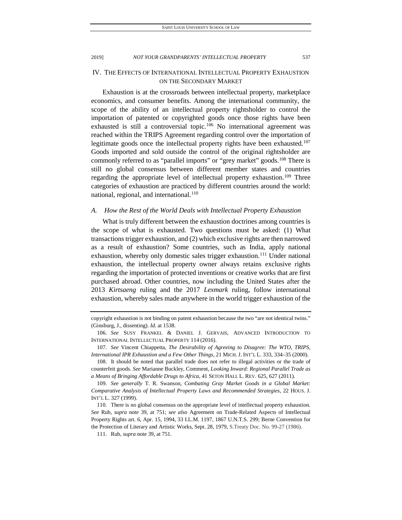IV. THE EFFECTS OF INTERNATIONAL INTELLECTUAL PROPERTY EXHAUSTION ON THE SECONDARY MARKET

Exhaustion is at the crossroads between intellectual property, marketplace economics, and consumer benefits. Among the international community, the scope of the ability of an intellectual property rightsholder to control the importation of patented or copyrighted goods once those rights have been exhausted is still a controversial topic.<sup>[106](#page-13-0)</sup> No international agreement was reached within the TRIPS Agreement regarding control over the importation of legitimate goods once the intellectual property rights have been exhausted.<sup>[107](#page-13-1)</sup> Goods imported and sold outside the control of the original rightsholder are commonly referred to as "parallel imports" or "grey market" goods.<sup>[108](#page-13-2)</sup> There is still no global consensus between different member states and countries regarding the appropriate level of intellectual property exhaustion.<sup>[109](#page-13-3)</sup> Three categories of exhaustion are practiced by different countries around the world: national, regional, and international.<sup>[110](#page-13-4)</sup>

#### *A. How the Rest of the World Deals with Intellectual Property Exhaustion*

What is truly different between the exhaustion doctrines among countries is the scope of what is exhausted. Two questions must be asked: (1) What transactions trigger exhaustion, and (2) which exclusive rights are then narrowed as a result of exhaustion? Some countries, such as India, apply national exhaustion, whereby only domestic sales trigger exhaustion.<sup>[111](#page-13-5)</sup> Under national exhaustion, the intellectual property owner always retains exclusive rights regarding the importation of protected inventions or creative works that are first purchased abroad. Other countries, now including the United States after the 2013 *Kirtsaeng* ruling and the 2017 *Lexmark* ruling, follow international exhaustion, whereby sales made anywhere in the world trigger exhaustion of the

copyright exhaustion is not binding on patent exhaustion because the two "are not identical twins." (Ginsburg, J., dissenting). *Id.* at 1538.

<span id="page-13-0"></span><sup>106</sup>*. See* SUSY FRANKEL & DANIEL J. GERVAIS, ADVANCED INTRODUCTION TO INTERNATIONAL INTELLECTUAL PROPERTY 114 (2016).

<span id="page-13-1"></span><sup>107</sup>*. See* Vincent Chiappetta, *The Desirability of Agreeing to Disagree: The WTO, TRIPS, International IPR Exhaustion and a Few Other Things*, 21 MICH. J. INT'L L. 333, 334–35 (2000).

<span id="page-13-2"></span><sup>108.</sup> It should be noted that parallel trade does not refer to illegal activities or the trade of counterfeit goods. *See* Marianne Buckley, Comment, *Looking Inward: Regional Parallel Trade as a Means of Bringing Affordable Drugs to Africa*, 41 SETON HALL L. REV. 625, 627 (2011).

<span id="page-13-3"></span><sup>109</sup>*. See generally* T. R. Swanson, *Combating Gray Market Goods in a Global Market: Comparative Analysis of Intellectual Property Laws and Recommended Strategies*, 22 HOUS. J. INT'L L. 327 (1999).

<span id="page-13-5"></span><span id="page-13-4"></span><sup>110.</sup> There is no global consensus on the appropriate level of intellectual property exhaustion. *See* Rub, *supra* note 39, at 751; *see also* Agreement on Trade-Related Aspects of Intellectual Property Rights art. 6, Apr. 15, 1994, 33 I.L.M. 1197, 1867 U.N.T.S. 299; Berne Convention for the Protection of Literary and Artistic Works, Sept. 28, 1979, S.Treaty Doc. No. 99-27 (1986).

<sup>111.</sup> Rub, *supra* note 39, at 751.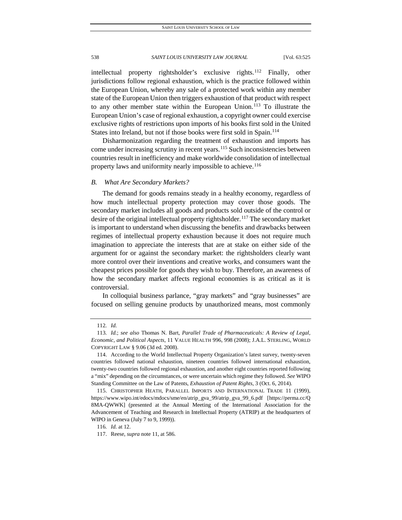intellectual property rightsholder's exclusive rights.[112](#page-14-0) Finally, other jurisdictions follow regional exhaustion, which is the practice followed within the European Union, whereby any sale of a protected work within any member state of the European Union then triggers exhaustion of that product with respect to any other member state within the European Union.<sup>[113](#page-14-1)</sup> To illustrate the European Union's case of regional exhaustion, a copyright owner could exercise exclusive rights of restrictions upon imports of his books first sold in the United States into Ireland, but not if those books were first sold in Spain.<sup>[114](#page-14-2)</sup>

Disharmonization regarding the treatment of exhaustion and imports has come under increasing scrutiny in recent years.<sup>[115](#page-14-3)</sup> Such inconsistencies between countries result in inefficiency and make worldwide consolidation of intellectual property laws and uniformity nearly impossible to achieve.<sup>[116](#page-14-4)</sup>

#### *B. What Are Secondary Markets?*

The demand for goods remains steady in a healthy economy, regardless of how much intellectual property protection may cover those goods. The secondary market includes all goods and products sold outside of the control or desire of the original intellectual property rightsholder.<sup>[117](#page-14-5)</sup> The secondary market is important to understand when discussing the benefits and drawbacks between regimes of intellectual property exhaustion because it does not require much imagination to appreciate the interests that are at stake on either side of the argument for or against the secondary market: the rightsholders clearly want more control over their inventions and creative works, and consumers want the cheapest prices possible for goods they wish to buy. Therefore, an awareness of how the secondary market affects regional economies is as critical as it is controversial.

In colloquial business parlance, "gray markets" and "gray businesses" are focused on selling genuine products by unauthorized means, most commonly

<sup>112</sup>*. Id.*

<span id="page-14-1"></span><span id="page-14-0"></span><sup>113</sup>*. Id.*; *see also* Thomas N. Bart, *Parallel Trade of Pharmaceuticals: A Review of Legal, Economic, and Political Aspects*, 11 VALUE HEALTH 996, 998 (2008); J.A.L. STERLING, WORLD COPYRIGHT LAW § 9.06 (3d ed. 2008).

<span id="page-14-2"></span><sup>114.</sup> According to the World Intellectual Property Organization's latest survey, twenty-seven countries followed national exhaustion, nineteen countries followed international exhaustion, twenty-two countries followed regional exhaustion, and another eight countries reported following a "mix" depending on the circumstances, or were uncertain which regime they followed. *See* WIPO Standing Committee on the Law of Patents, *Exhaustion of Patent Rights*, 3 (Oct. 6, 2014).

<span id="page-14-3"></span><sup>115.</sup> CHRISTOPHER HEATH, PARALLEL IMPORTS AND INTERNATIONAL TRADE 11 (1999), https://www.wipo.int/edocs/mdocs/sme/en/atrip\_gva\_99/atrip\_gva\_99\_6.pdf [https://perma.cc/Q 8MA-QWWK] (presented at the Annual Meeting of the International Association for the Advancement of Teaching and Research in Intellectual Property (ATRIP) at the headquarters of WIPO in Geneva (July 7 to 9, 1999)).

<span id="page-14-4"></span><sup>116</sup>*. Id.* at 12.

<span id="page-14-5"></span><sup>117.</sup> Reese, *supra* note 11, at 586.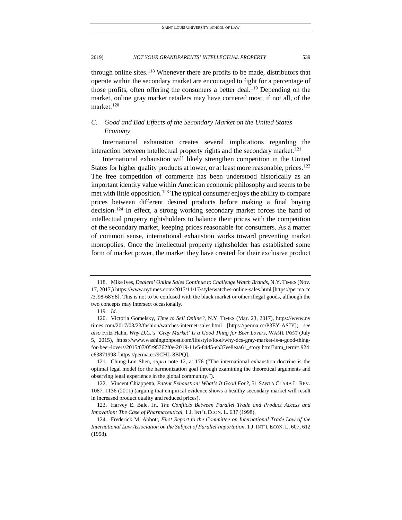through online sites.<sup>118</sup> Whenever there are profits to be made, distributors that operate within the secondary market are encouraged to fight for a percentage of those profits, often offering the consumers a better deal.<sup>[119](#page-15-1)</sup> Depending on the market, online gray market retailers may have cornered most, if not all, of the market.<sup>[120](#page-15-2)</sup>

## *C. Good and Bad Effects of the Secondary Market on the United States Economy*

International exhaustion creates several implications regarding the interaction between intellectual property rights and the secondary market.<sup>[121](#page-15-3)</sup>

International exhaustion will likely strengthen competition in the United States for higher quality products at lower, or at least more reasonable, prices.<sup>122</sup> The free competition of commerce has been understood historically as an important identity value within American economic philosophy and seems to be met with little opposition.<sup>[123](#page-15-5)</sup> The typical consumer enjoys the ability to compare prices between different desired products before making a final buying decision.[124](#page-15-6) In effect, a strong working secondary market forces the hand of intellectual property rightsholders to balance their prices with the competition of the secondary market, keeping prices reasonable for consumers. As a matter of common sense, international exhaustion works toward preventing market monopolies. Once the intellectual property rightsholder has established some form of market power, the market they have created for their exclusive product

<span id="page-15-7"></span>

<span id="page-15-0"></span><sup>118.</sup> Mike Ives, *Dealers' Online Sales Continue to Challenge Watch Brands*, N.Y. TIMES (Nov. 17, 2017,) https://www.nytimes.com/2017/11/17/style/watches-online-sales.html [https://perma.cc /3J98-68Y8]. This is not to be confused with the black market or other illegal goods, although the two concepts may intersect occasionally.

<sup>119</sup>*. Id.*

<span id="page-15-2"></span><span id="page-15-1"></span><sup>120.</sup> Victoria Gomelsky, *Time to Sell Online?*, N.Y. TIMES (Mar. 23, 2017), https://www.ny times.com/2017/03/23/fashion/watches-internet-sales.html [https://perma.cc/P3EY-ASJY]; *see also* Fritz Hahn, *Why D.C.'s 'Gray Market' Is a Good Thing for Beer Lovers*, WASH. POST (July 5, 2015), https://www.washingtonpost.com/lifestyle/food/why-dcs-gray-market-is-a-good-thingfor-beer-lovers/2015/07/05/95762f0e-2019-11e5-84d5-eb37ee8eaa61\_story.html?utm\_term=.924 c63871998 [https://perma.cc/9CHL-8BPQ].

<span id="page-15-3"></span><sup>121.</sup> Chung-Lun Shen, *supra* note 12, at 176 ("The international exhaustion doctrine is the optimal legal model for the harmonization goal through examining the theoretical arguments and observing legal experience in the global community.").

<span id="page-15-4"></span><sup>122.</sup> Vincent Chiappetta, *Patent Exhaustion: What's It Good For?*, 51 SANTA CLARA L. REV. 1087, 1136 (2011) (arguing that empirical evidence shows a healthy secondary market will result in increased product quality and reduced prices).

<span id="page-15-5"></span><sup>123.</sup> Harvey E. Bale, Jr., *The Conflicts Between Parallel Trade and Product Access and Innovation: The Case of Pharmaceutical*, 1 J. INT'L ECON. L. 637 (1998).

<span id="page-15-6"></span><sup>124.</sup> Frederick M. Abbott, *First Report to the Committee on International Trade Law of the International Law Association on the Subject of Parallel Importation*, 1 J. INT'L ECON. L. 607, 612 (1998).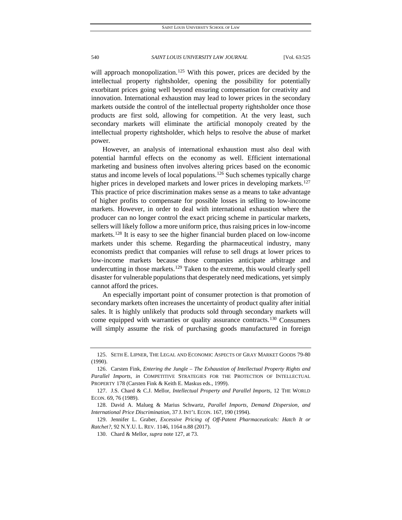<span id="page-16-0"></span>

will approach monopolization.<sup>[125](#page-16-1)</sup> With this power, prices are decided by the intellectual property rightsholder, opening the possibility for potentially exorbitant prices going well beyond ensuring compensation for creativity and innovation. International exhaustion may lead to lower prices in the secondary markets outside the control of the intellectual property rightsholder once those products are first sold, allowing for competition. At the very least, such secondary markets will eliminate the artificial monopoly created by the intellectual property rightsholder, which helps to resolve the abuse of market power.

However, an analysis of international exhaustion must also deal with potential harmful effects on the economy as well. Efficient international marketing and business often involves altering prices based on the economic status and income levels of local populations.<sup>[126](#page-16-2)</sup> Such schemes typically charge higher prices in developed markets and lower prices in developing markets.<sup>127</sup> This practice of price discrimination makes sense as a means to take advantage of higher profits to compensate for possible losses in selling to low-income markets. However, in order to deal with international exhaustion where the producer can no longer control the exact pricing scheme in particular markets, sellers will likely follow a more uniform price, thus raising prices in low-income markets.<sup>[128](#page-16-4)</sup> It is easy to see the higher financial burden placed on low-income markets under this scheme. Regarding the pharmaceutical industry, many economists predict that companies will refuse to sell drugs at lower prices to low-income markets because those companies anticipate arbitrage and undercutting in those markets.<sup>[129](#page-16-5)</sup> Taken to the extreme, this would clearly spell disaster for vulnerable populations that desperately need medications, yet simply cannot afford the prices.

An especially important point of consumer protection is that promotion of secondary markets often increases the uncertainty of product quality after initial sales. It is highly unlikely that products sold through secondary markets will come equipped with warranties or quality assurance contracts.<sup>[130](#page-16-6)</sup> Consumers will simply assume the risk of purchasing goods manufactured in foreign

<span id="page-16-1"></span><sup>125.</sup> SETH E. LIPNER, THE LEGAL AND ECONOMIC ASPECTS OF GRAY MARKET GOODS 79-80 (1990).

<span id="page-16-2"></span><sup>126.</sup> Carsten Fink, *Entering the Jungle – The Exhaustion of Intellectual Property Rights and Parallel Imports*, *in* COMPETITIVE STRATEGIES FOR THE PROTECTION OF INTELLECTUAL PROPERTY 178 (Carsten Fink & Keith E. Maskus eds., 1999).

<span id="page-16-3"></span><sup>127.</sup> J.S. Chard & C.J. Mellor, *Intellectual Property and Parallel Imports*, 12 THE WORLD ECON. 69, 76 (1989).

<span id="page-16-4"></span><sup>128.</sup> David A. Malueg & Marius Schwartz, *Parallel Imports, Demand Dispersion, and International Price Discrimination*, 37 J. INT'L ECON. 167, 190 (1994).

<span id="page-16-6"></span><span id="page-16-5"></span><sup>129.</sup> Jennifer L. Graber, *Excessive Pricing of Off-Patent Pharmaceuticals: Hatch It or Ratchet?*, 92 N.Y.U. L. REV. 1146, 1164 n.88 (2017).

<sup>130.</sup> Chard & Mellor, *supra* not[e 127,](#page-16-0) at 73.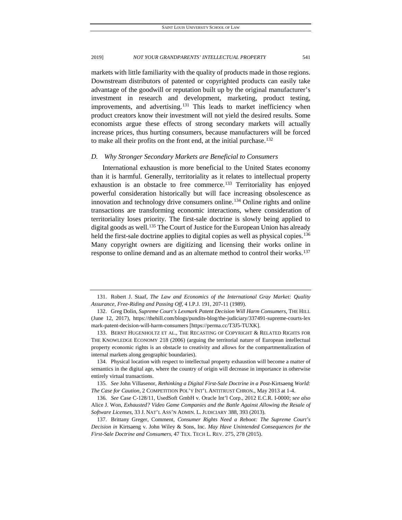markets with little familiarity with the quality of products made in those regions. Downstream distributors of patented or copyrighted products can easily take advantage of the goodwill or reputation built up by the original manufacturer's investment in research and development, marketing, product testing, improvements, and advertising.<sup>[131](#page-17-0)</sup> This leads to market inefficiency when product creators know their investment will not yield the desired results. Some economists argue these effects of strong secondary markets will actually increase prices, thus hurting consumers, because manufacturers will be forced to make all their profits on the front end, at the initial purchase.<sup>[132](#page-17-1)</sup>

#### *D. Why Stronger Secondary Markets are Beneficial to Consumers*

International exhaustion is more beneficial to the United States economy than it is harmful. Generally, territoriality as it relates to intellectual property exhaustion is an obstacle to free commerce.<sup>[133](#page-17-2)</sup> Territoriality has enjoyed powerful consideration historically but will face increasing obsolescence as innovation and technology drive consumers online.<sup>[134](#page-17-3)</sup> Online rights and online transactions are transforming economic interactions, where consideration of territoriality loses priority. The first-sale doctrine is slowly being applied to digital goods as well.<sup>[135](#page-17-4)</sup> The Court of Justice for the European Union has already held the first-sale doctrine applies to digital copies as well as physical copies.<sup>136</sup> Many copyright owners are digitizing and licensing their works online in response to online demand and as an alternate method to control their works.<sup>[137](#page-17-6)</sup>

<span id="page-17-7"></span>

<span id="page-17-0"></span><sup>131.</sup> Robert J. Staaf, *The Law and Economics of the International Gray Market: Quality Assurance, Free-Riding and Passing Off*, 4 I.P.J. 191, 207-11 (1989).

<span id="page-17-1"></span><sup>132.</sup> Greg Dolin, *Supreme Court's Lexmark Patent Decision Will Harm Consumers*, THE HILL (June 12, 2017), https://thehill.com/blogs/pundits-blog/the-judiciary/337491-supreme-courts-lex mark-patent-decision-will-harm-consumers [https://perma.cc/T3J5-TUXK].

<span id="page-17-2"></span><sup>133.</sup> BERNT HUGENHOLTZ ET AL., THE RECASTING OF COPYRIGHT & RELATED RIGHTS FOR THE KNOWLEDGE ECONOMY 218 (2006) (arguing the territorial nature of European intellectual property economic rights is an obstacle to creativity and allows for the compartmentalization of internal markets along geographic boundaries).

<span id="page-17-3"></span><sup>134.</sup> Physical location with respect to intellectual property exhaustion will become a matter of semantics in the digital age, where the country of origin will decrease in importance in otherwise entirely virtual transactions.

<span id="page-17-4"></span><sup>135</sup>*. See* John Villasenor, *Rethinking a Digital First-Sale Doctrine in a Post-*Kirtsaeng *World: The Case for Caution*, 2 COMPETITION POL'Y INT'L ANTITRUST CHRON., May 2013 at 1-4.

<span id="page-17-5"></span><sup>136</sup>*. See* Case C-128/11, UsedSoft GmbH v. Oracle Int'l Corp., 2012 E.C.R. I-0000; *see also*  Alice J. Won, *Exhausted? Video Game Companies and the Battle Against Allowing the Resale of Software Licenses*, 33 J. NAT'L ASS'N ADMIN. L. JUDICIARY 388, 393 (2013).

<span id="page-17-6"></span><sup>137.</sup> Brittany Greger, Comment, *Consumer Rights Need a Reboot: The Supreme Court's Decision in* Kirtsaeng v. John Wiley & Sons, Inc. *May Have Unintended Consequences for the First-Sale Doctrine and Consumers*, 47 TEX. TECH L. REV. 275, 278 (2015).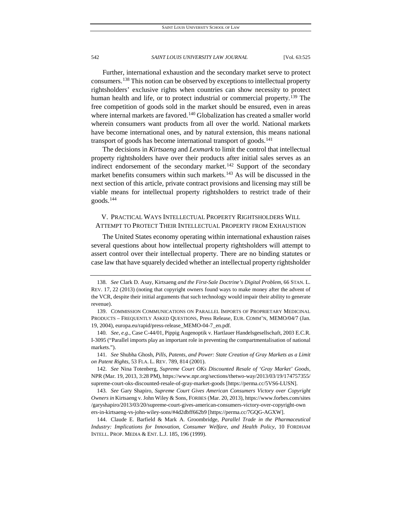Further, international exhaustion and the secondary market serve to protect consumers.[138](#page-18-0) This notion can be observed by exceptions to intellectual property rightsholders' exclusive rights when countries can show necessity to protect human health and life, or to protect industrial or commercial property.<sup>[139](#page-18-1)</sup> The free competition of goods sold in the market should be ensured, even in areas where internal markets are favored.<sup>[140](#page-18-2)</sup> Globalization has created a smaller world wherein consumers want products from all over the world. National markets have become international ones, and by natural extension, this means national transport of goods has become international transport of goods.<sup>[141](#page-18-3)</sup>

The decisions in *Kirtsaeng* and *Lexmark* to limit the control that intellectual property rightsholders have over their products after initial sales serves as an indirect endorsement of the secondary market.<sup>[142](#page-18-4)</sup> Support of the secondary market benefits consumers within such markets.<sup>[143](#page-18-5)</sup> As will be discussed in the next section of this article, private contract provisions and licensing may still be viable means for intellectual property rightsholders to restrict trade of their goods.[144](#page-18-6)

## V. PRACTICAL WAYS INTELLECTUAL PROPERTY RIGHTSHOLDERS WILL ATTEMPT TO PROTECT THEIR INTELLECTUAL PROPERTY FROM EXHAUSTION

The United States economy operating within international exhaustion raises several questions about how intellectual property rightsholders will attempt to assert control over their intellectual property. There are no binding statutes or case law that have squarely decided whether an intellectual property rightsholder

<span id="page-18-0"></span><sup>138</sup>*. See* Clark D. Asay, Kirtsaeng *and the First-Sale Doctrine's Digital Problem*, 66 STAN. L. REV. 17, 22 (2013) (noting that copyright owners found ways to make money after the advent of the VCR, despite their initial arguments that such technology would impair their ability to generate revenue).

<span id="page-18-1"></span><sup>139.</sup> COMMISSION COMMUNICATIONS ON PARALLEL IMPORTS OF PROPRIETARY MEDICINAL PRODUCTS – FREQUENTLY ASKED QUESTIONS, Press Release, EUR. COMM'N, MEMO/04/7 (Jan. 19, 2004), europa.eu/rapid/press-release\_MEMO-04-7\_en.pdf.

<span id="page-18-2"></span><sup>140</sup>*. See, e.g.*, Case C-44/01, Pippig Augenoptik v. Hartlauer Handelsgesellschaft, 2003 E.C.R. I-3095 ("Parallel imports play an important role in preventing the compartmentalisation of national markets.").

<span id="page-18-3"></span><sup>141</sup>*. See* Shubha Ghosh, *Pills, Patents, and Power: State Creation of Gray Markets as a Limit on Patent Rights*, 53 FLA. L. REV. 789, 814 (2001).

<span id="page-18-4"></span><sup>142</sup>*. See* Nina Totenberg, *Supreme Court OKs Discounted Resale of 'Gray Market' Goods*, NPR (Mar. 19, 2013, 3:28 PM), https://www.npr.org/sections/thetwo-way/2013/03/19/174757355/ supreme-court-oks-discounted-resale-of-gray-market-goods [https://perma.cc/5VS6-LUSN].

<span id="page-18-5"></span><sup>143</sup>*. See* Gary Shapiro, *Supreme Court Gives American Consumers Victory over Copyright Owners in* Kirtsaeng v. John Wiley & Sons, FORBES (Mar. 20, 2013), https://www.forbes.com/sites /garyshapiro/2013/03/20/supreme-court-gives-american-consumers-victory-over-copyright-own ers-in-kirtsaeng-vs-john-wiley-sons/#4d2dbff662b9 [https://perma.cc/7GQG-AGXW].

<span id="page-18-6"></span><sup>144.</sup> Claude E. Barfield & Mark A. Groombridge, *Parallel Trade in the Pharmaceutical Industry: Implications for Innovation, Consumer Welfare, and Health Policy*, 10 FORDHAM INTELL. PROP. MEDIA & ENT. L.J. 185, 196 (1999).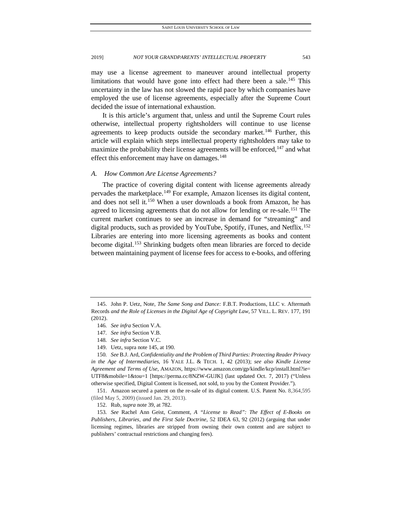may use a license agreement to maneuver around intellectual property limitations that would have gone into effect had there been a sale.<sup>[145](#page-19-0)</sup> This uncertainty in the law has not slowed the rapid pace by which companies have employed the use of license agreements, especially after the Supreme Court decided the issue of international exhaustion.

It is this article's argument that, unless and until the Supreme Court rules otherwise, intellectual property rightsholders will continue to use license agreements to keep products outside the secondary market.<sup>[146](#page-19-1)</sup> Further, this article will explain which steps intellectual property rightsholders may take to maximize the probability their license agreements will be enforced,  $147$  and what effect this enforcement may have on damages.<sup>[148](#page-19-3)</sup>

#### *A. How Common Are License Agreements?*

The practice of covering digital content with license agreements already pervades the marketplace.<sup>[149](#page-19-4)</sup> For example, Amazon licenses its digital content, and does not sell it.[150](#page-19-5) When a user downloads a book from Amazon, he has agreed to licensing agreements that do not allow for lending or re-sale.<sup>[151](#page-19-6)</sup> The current market continues to see an increase in demand for "streaming" and digital products, such as provided by YouTube, Spotify, iTunes, and Netflix.<sup>[152](#page-19-7)</sup> Libraries are entering into more licensing agreements as books and content become digital.<sup>[153](#page-19-8)</sup> Shrinking budgets often mean libraries are forced to decide between maintaining payment of license fees for access to e-books, and offering

<span id="page-19-6"></span>151. Amazon secured a patent on the re-sale of its digital content. U.S. Patent No. 8,364,595 (filed May 5, 2009) (issued Jan. 29, 2013).

<span id="page-19-8"></span><span id="page-19-7"></span>153*. See* Rachel Ann Geist, Comment, *A "License to Read": The Effect of E-Books on Publishers, Libraries, and the First Sale Doctrine*, 52 IDEA 63, 92 (2012) (arguing that under licensing regimes, libraries are stripped from owning their own content and are subject to publishers' contractual restrictions and changing fees).

<span id="page-19-1"></span><span id="page-19-0"></span><sup>145.</sup> John P. Uetz, Note, *The Same Song and Dance:* F.B.T. Productions, LLC v. Aftermath Records *and the Role of Licenses in the Digital Age of Copyright Law*, 57 VILL. L. REV. 177, 191 (2012).

<sup>146</sup>*. See infra* Section V.A.

<sup>147</sup>*. See infra* Section V.B.

<sup>148</sup>*. See infra* Section V.C.

<sup>149.</sup> Uetz, supra note 145, at 190.

<span id="page-19-5"></span><span id="page-19-4"></span><span id="page-19-3"></span><span id="page-19-2"></span><sup>150</sup>*. See* B.J. Ard, *Confidentiality and the Problem of Third Parties: Protecting Reader Privacy in the Age of Intermediaries*, 16 YALE J.L. & TECH. 1, 42 (2013); *see also Kindle License Agreement and Terms of Use*, AMAZON, https://www.amazon.com/gp/kindle/kcp/install.html?ie= UTF8&mobile=1&tou=1 [https://perma.cc/8NZW-GUJK] (last updated Oct. 7, 2017) ("Unless otherwise specified, Digital Content is licensed, not sold, to you by the Content Provider.").

<sup>152.</sup> Rub, *supra* note 39, at 782.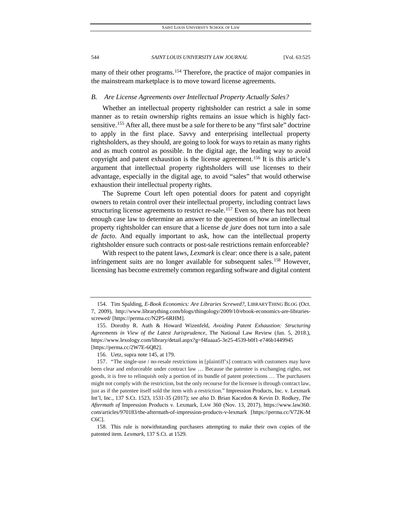many of their other programs.[154](#page-20-0) Therefore, the practice of major companies in the mainstream marketplace is to move toward license agreements.

#### *B. Are License Agreements over Intellectual Property Actually Sales?*

Whether an intellectual property rightsholder can restrict a sale in some manner as to retain ownership rights remains an issue which is highly factsensitive.[155](#page-20-1) After all, there must be a *sale* for there to be any "first sale" doctrine to apply in the first place. Savvy and enterprising intellectual property rightsholders, as they should, are going to look for ways to retain as many rights and as much control as possible. In the digital age, the leading way to avoid copyright and patent exhaustion is the license agreement.<sup>[156](#page-20-2)</sup> It is this article's argument that intellectual property rightsholders will use licenses to their advantage, especially in the digital age, to avoid "sales" that would otherwise exhaustion their intellectual property rights.

The Supreme Court left open potential doors for patent and copyright owners to retain control over their intellectual property, including contract laws structuring license agreements to restrict re-sale.<sup>[157](#page-20-3)</sup> Even so, there has not been enough case law to determine an answer to the question of how an intellectual property rightsholder can ensure that a license *de jure* does not turn into a sale *de facto*. And equally important to ask, how can the intellectual property rightsholder ensure such contracts or post-sale restrictions remain enforceable?

With respect to the patent laws, *Lexmark* is clear: once there is a sale, patent infringement suits are no longer available for subsequent sales.<sup>[158](#page-20-4)</sup> However, licensing has become extremely common regarding software and digital content

<span id="page-20-0"></span><sup>154.</sup> Tim Spalding, *E-Book Economics: Are Libraries Screwed?*, LIBRARYTHING BLOG (Oct. 7, 2009), http://www.librarything.com/blogs/thingology/2009/10/ebook-economics-are-librariesscrewed/ [https://perma.cc/N2P5-6RHM].

<span id="page-20-1"></span><sup>155.</sup> Dorothy R. Auth & Howard Wizenfeld, *Avoiding Patent Exhaustion: Structuring Agreements in View of the Latest Jurisprudence*, The National Law Review (Jan. 5, 2018.), https://www.lexology.com/library/detail.aspx?g=f4faaaa5-3e25-4539-b0f1-e746b1449945 [https://perma.cc/2W7E-6Q82].

<sup>156.</sup> Uetz, supra note 145, at 179.

<span id="page-20-3"></span><span id="page-20-2"></span><sup>157.</sup> "The single-use / no-resale restrictions in [plaintiff's] contracts with customers may have been clear and enforceable under contract law … Because the patentee is exchanging rights, not goods, it is free to relinquish only a portion of its bundle of patent protections … The purchasers might not comply with the restriction, but the only recourse for the licensee is through contract law, just as if the patentee itself sold the item with a restriction." Impression Products, Inc. v. Lexmark Int'l, Inc., 137 S.Ct. 1523, 1531-35 (2017); *see also* D. Brian Kacedon & Kevin D. Rodkey, *The Aftermath of* Impression Products v. Lexmark, LAW 360 (Nov. 13, 2017), https://www.law360. com/articles/970183/the-aftermath-of-impression-products-v-lexmark [https://perma.cc/V72K-M C6C].

<span id="page-20-4"></span><sup>158.</sup> This rule is notwithstanding purchasers attempting to make their own copies of the patented item. *Lexmark*, 137 S.Ct. at 1529.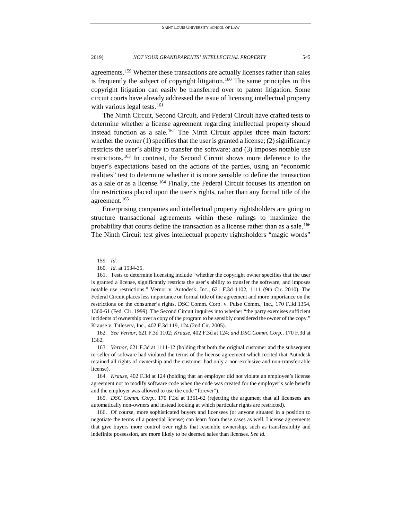agreements.[159](#page-21-0) Whether these transactions are actually licenses rather than sales is frequently the subject of copyright litigation.<sup>160</sup> The same principles in this copyright litigation can easily be transferred over to patent litigation. Some circuit courts have already addressed the issue of licensing intellectual property with various legal tests.<sup>[161](#page-21-2)</sup>

The Ninth Circuit, Second Circuit, and Federal Circuit have crafted tests to determine whether a license agreement regarding intellectual property should instead function as a sale.<sup>[162](#page-21-3)</sup> The Ninth Circuit applies three main factors: whether the owner (1) specifies that the user is granted a license; (2) significantly restricts the user's ability to transfer the software; and (3) imposes notable use restrictions.[163](#page-21-4) In contrast, the Second Circuit shows more deference to the buyer's expectations based on the actions of the parties, using an "economic realities" test to determine whether it is more sensible to define the transaction as a sale or as a license.<sup>[164](#page-21-5)</sup> Finally, the Federal Circuit focuses its attention on the restrictions placed upon the user's rights, rather than any formal title of the agreement.<sup>[165](#page-21-6)</sup>

Enterprising companies and intellectual property rightsholders are going to structure transactional agreements within these rulings to maximize the probability that courts define the transaction as a license rather than as a sale[.166](#page-21-7) The Ninth Circuit test gives intellectual property rightsholders "magic words"

<span id="page-21-3"></span>162*. See Vernor*, 621 F.3d 1102; *Krause*, 402 F.3d at 124; *and DSC Comm. Corp.*, 170 F.3d at 1362.

<span id="page-21-4"></span>163*. Vernor*, 621 F.3d at 1111-12 (holding that both the original customer and the subsequent re-seller of software had violated the terms of the license agreement which recited that Autodesk retained all rights of ownership and the customer had only a non-exclusive and non-transferrable license).

<span id="page-21-5"></span>164*. Krause*, 402 F.3d at 124 (holding that an employer did not violate an employee's license agreement not to modify software code when the code was created for the employer's sole benefit and the employer was allowed to use the code "forever").

<span id="page-21-6"></span>165*. DSC Comm. Corp.*, 170 F.3d at 1361-62 (rejecting the argument that all licensees are automatically non-owners and instead looking at which particular rights are restricted).

<span id="page-21-7"></span>166. Of course, more sophisticated buyers and licensees (or anyone situated in a position to negotiate the terms of a potential license) can learn from these cases as well. License agreements that give buyers more control over rights that resemble ownership, such as transferability and indefinite possession, are more likely to be deemed sales than licenses. *See id.*

<sup>159</sup>*. Id.*

<sup>160</sup>*. Id.* at 1534-35.

<span id="page-21-2"></span><span id="page-21-1"></span><span id="page-21-0"></span><sup>161.</sup> Tests to determine licensing include "whether the copyright owner specifies that the user is granted a license, significantly restricts the user's ability to transfer the software, and imposes notable use restrictions." Vernor v. Autodesk, Inc., 621 F.3d 1102, 1111 (9th Cir. 2010). The Federal Circuit places less importance on formal title of the agreement and more importance on the restrictions on the consumer's rights. DSC Comm. Corp. v. Pulse Comm., Inc., 170 F.3d 1354, 1360-61 (Fed. Cir. 1999). The Second Circuit inquires into whether "the party exercises sufficient incidents of ownership over a copy of the program to be sensibly considered the owner of the copy." Krause v. Titleserv, Inc., 402 F.3d 119, 124 (2nd Cir. 2005).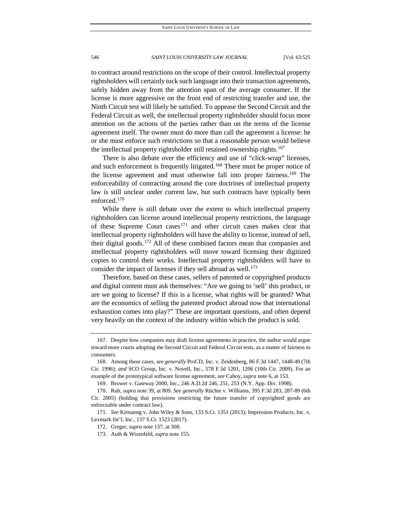to contract around restrictions on the scope of their control. Intellectual property rightsholders will certainly tuck such language into their transaction agreements, safely hidden away from the attention span of the average consumer. If the license is more aggressive on the front end of restricting transfer and use, the Ninth Circuit test will likely be satisfied. To appease the Second Circuit and the Federal Circuit as well, the intellectual property rightsholder should focus more attention on the actions of the parties rather than on the terms of the license agreement itself. The owner must do more than call the agreement a license: he or she must enforce such restrictions so that a reasonable person would believe the intellectual property rightsholder still retained ownership rights.<sup>[167](#page-22-0)</sup>

There is also debate over the efficiency and use of "click-wrap" licenses, and such enforcement is frequently litigated.<sup>[168](#page-22-1)</sup> There must be proper notice of the license agreement and must otherwise fall into proper fairness.<sup>[169](#page-22-2)</sup> The enforceability of contracting around the core doctrines of intellectual property law is still unclear under current law, but such contracts have typically been enforced.[170](#page-22-3)

While there is still debate over the extent to which intellectual property rightsholders can license around intellectual property restrictions, the language of these Supreme Court cases<sup>[171](#page-22-4)</sup> and other circuit cases makes clear that intellectual property rightsholders will have the ability to license, instead of sell, their digital goods.[172](#page-22-5) All of these combined factors mean that companies and intellectual property rightsholders will move toward licensing their digitized copies to control their works. Intellectual property rightsholders will have to consider the impact of licenses if they sell abroad as well.<sup>[173](#page-22-6)</sup>

Therefore, based on these cases, sellers of patented or copyrighted products and digital content must ask themselves: "Are we going to 'sell' this product, or are we going to license? If this is a license, what rights will be granted? What are the economics of selling the patented product abroad now that international exhaustion comes into play?" These are important questions, and often depend very heavily on the context of the industry within which the product is sold.

<span id="page-22-0"></span><sup>167.</sup> Despite how companies may draft license agreements in practice, the author would argue toward more courts adopting the Second Circuit and Federal Circuit tests, as a matter of fairness to consumers.

<span id="page-22-1"></span><sup>168.</sup> Among these cases, *see generally* ProCD, Inc. v. Zeidenberg, 86 F.3d 1447, 1448-49 (7th Cir. 1996); *and* SCO Group, Inc. v. Novell, Inc., 578 F.3d 1201, 1206 (10th Cir. 2009). For an example of the prototypical software license agreement, *see* Cahoy, *supra* note 6, at 153.

<sup>169.</sup> Brower v. Gateway 2000, Inc., 246 A.D.2d 246, 251, 253 (N.Y. App. Div. 1998).

<span id="page-22-3"></span><span id="page-22-2"></span><sup>170.</sup> Rub, *supra* note 39, at 809. *See generally* Ritchie v. Williams, 395 F.3d 283, 287-89 (6th Cir. 2005) (holding that provisions restricting the future transfer of copyrighted goods are enforceable under contract law).

<span id="page-22-6"></span><span id="page-22-5"></span><span id="page-22-4"></span><sup>171</sup>*. See* Kirtsaeng v. John Wiley & Sons, 133 S.Ct. 1351 (2013); Impression Products, Inc. v. Lexmark Int'l, Inc., 137 S.Ct. 1523 (2017).

<sup>172.</sup> Greger, *supra* not[e 137,](#page-17-7) at 300.

<sup>173.</sup> Auth & Wizenfeld, *supra* note 155.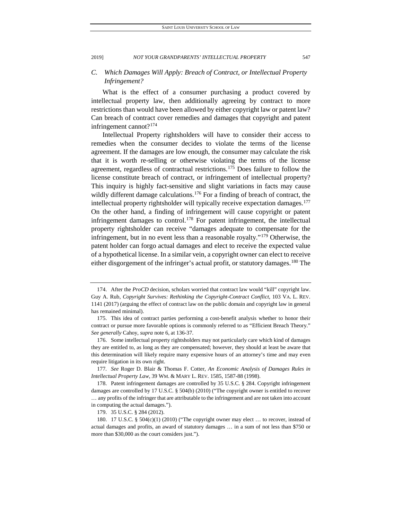## *C. Which Damages Will Apply: Breach of Contract, or Intellectual Property Infringement?*

What is the effect of a consumer purchasing a product covered by intellectual property law, then additionally agreeing by contract to more restrictions than would have been allowed by either copyright law or patent law? Can breach of contract cover remedies and damages that copyright and patent infringement cannot?[174](#page-23-0)

Intellectual Property rightsholders will have to consider their access to remedies when the consumer decides to violate the terms of the license agreement. If the damages are low enough, the consumer may calculate the risk that it is worth re-selling or otherwise violating the terms of the license agreement, regardless of contractual restrictions.[175](#page-23-1) Does failure to follow the license constitute breach of contract, or infringement of intellectual property? This inquiry is highly fact-sensitive and slight variations in facts may cause wildly different damage calculations.<sup>[176](#page-23-2)</sup> For a finding of breach of contract, the intellectual property rightsholder will typically receive expectation damages.<sup>177</sup> On the other hand, a finding of infringement will cause copyright or patent infringement damages to control.<sup>[178](#page-23-4)</sup> For patent infringement, the intellectual property rightsholder can receive "damages adequate to compensate for the infringement, but in no event less than a reasonable royalty."[179](#page-23-5) Otherwise, the patent holder can forgo actual damages and elect to receive the expected value of a hypothetical license. In a similar vein, a copyright owner can elect to receive either disgorgement of the infringer's actual profit, or statutory damages.<sup>[180](#page-23-6)</sup> The

<span id="page-23-0"></span><sup>174.</sup> After the *ProCD* decision, scholars worried that contract law would "kill" copyright law. Guy A. Rub, *Copyright Survives: Rethinking the Copyright-Contract Conflict*, 103 VA. L. REV. 1141 (2017) (arguing the effect of contract law on the public domain and copyright law in general has remained minimal).

<span id="page-23-1"></span><sup>175.</sup> This idea of contract parties performing a cost-benefit analysis whether to honor their contract or pursue more favorable options is commonly referred to as "Efficient Breach Theory." *See generally* Cahoy, *supra* note 6, at 136-37.

<span id="page-23-2"></span><sup>176.</sup> Some intellectual property rightsholders may not particularly care which kind of damages they are entitled to, as long as they are compensated; however, they should at least be aware that this determination will likely require many expensive hours of an attorney's time and may even require litigation in its own right.

<span id="page-23-3"></span><sup>177</sup>*. See* Roger D. Blair & Thomas F. Cotter, *An Economic Analysis of Damages Rules in Intellectual Property Law*, 39 WM. & MARY L. REV. 1585, 1587-88 (1998).

<span id="page-23-4"></span><sup>178.</sup> Patent infringement damages are controlled by 35 U.S.C. § 284. Copyright infringement damages are controlled by 17 U.S.C. § 504(b) (2010) ("The copyright owner is entitled to recover … any profits of the infringer that are attributable to the infringement and are not taken into account in computing the actual damages.").

<sup>179.</sup> 35 U.S.C. § 284 (2012).

<span id="page-23-6"></span><span id="page-23-5"></span><sup>180.</sup> 17 U.S.C. § 504(c)(1) (2010) ("The copyright owner may elect … to recover, instead of actual damages and profits, an award of statutory damages … in a sum of not less than \$750 or more than \$30,000 as the court considers just.").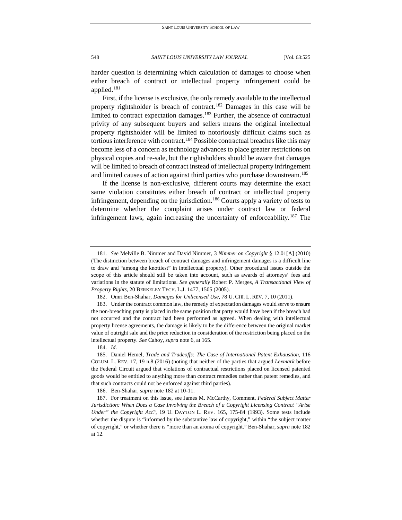harder question is determining which calculation of damages to choose when either breach of contract or intellectual property infringement could be applied.[181](#page-24-0)

First, if the license is exclusive, the only remedy available to the intellectual property rightsholder is breach of contract.<sup>[182](#page-24-1)</sup> Damages in this case will be limited to contract expectation damages.<sup>[183](#page-24-2)</sup> Further, the absence of contractual privity of any subsequent buyers and sellers means the original intellectual property rightsholder will be limited to notoriously difficult claims such as tortious interference with contract.<sup>[184](#page-24-3)</sup> Possible contractual breaches like this may become less of a concern as technology advances to place greater restrictions on physical copies and re-sale, but the rightsholders should be aware that damages will be limited to breach of contract instead of intellectual property infringement and limited causes of action against third parties who purchase downstream.<sup>[185](#page-24-4)</sup>

If the license is non-exclusive, different courts may determine the exact same violation constitutes either breach of contract or intellectual property infringement, depending on the jurisdiction.<sup>[186](#page-24-5)</sup> Courts apply a variety of tests to determine whether the complaint arises under contract law or federal infringement laws, again increasing the uncertainty of enforceability.<sup>[187](#page-24-6)</sup> The

186. Ben-Shahar, *supra* note 182 at 10-11.

<span id="page-24-0"></span><sup>181</sup>*. See* Melville B. Nimmer and David Nimmer, 3 *Nimmer on Copyright* § 12.01[A] (2010) (The distinction between breach of contract damages and infringement damages is a difficult line to draw and "among the knottiest" in intellectual property). Other procedural issues outside the scope of this article should still be taken into account, such as awards of attorneys' fees and variations in the statute of limitations. *See generally* Robert P. Merges, *A Transactional View of Property Rights*, 20 BERKELEY TECH. L.J. 1477, 1505 (2005).

<sup>182.</sup> Omri Ben-Shahar, *Damages for Unlicensed Use*, 78 U. CHI. L. REV. 7, 10 (2011).

<span id="page-24-2"></span><span id="page-24-1"></span><sup>183.</sup> Under the contract common law, the remedy of expectation damages would serve to ensure the non-breaching party is placed in the same position that party would have been if the breach had not occurred and the contract had been performed as agreed. When dealing with intellectual property license agreements, the damage is likely to be the difference between the original market value of outright sale and the price reduction in consideration of the restriction being placed on the intellectual property. *See* Cahoy, *supra* note 6, at 165.

<sup>184</sup>*. Id.*

<span id="page-24-4"></span><span id="page-24-3"></span><sup>185.</sup> Daniel Hemel, *Trade and Tradeoffs: The Case of International Patent Exhaustion*, 116 COLUM. L. REV. 17, 19 n.8 (2016) (noting that neither of the parties that argued *Lexmark* before the Federal Circuit argued that violations of contractual restrictions placed on licensed patented goods would be entitled to anything more than contract remedies rather than patent remedies, and that such contracts could not be enforced against third parties).

<span id="page-24-6"></span><span id="page-24-5"></span><sup>187.</sup> For treatment on this issue, see James M. McCarthy, Comment, *Federal Subject Matter Jurisdiction: When Does a Case Involving the Breach of a Copyright Licensing Contract "Arise Under" the Copyright Act?*, 19 U. DAYTON L. REV. 165, 175-84 (1993). Some tests include whether the dispute is "informed by the substantive law of copyright," within "the subject matter of copyright," or whether there is "more than an aroma of copyright." Ben-Shahar, *supra* note 182 at 12.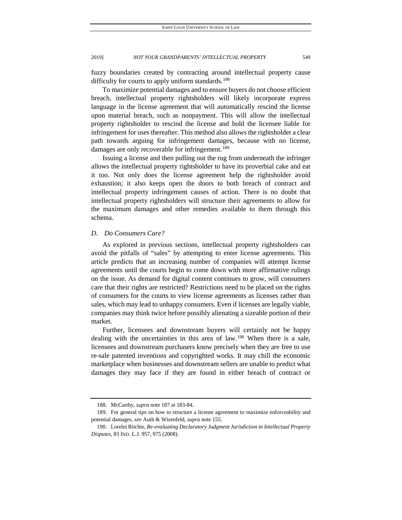fuzzy boundaries created by contracting around intellectual property cause difficulty for courts to apply uniform standards.<sup>[188](#page-25-0)</sup>

To maximize potential damages and to ensure buyers do not choose efficient breach, intellectual property rightsholders will likely incorporate express language in the license agreement that will automatically rescind the license upon material breach, such as nonpayment. This will allow the intellectual property rightsholder to rescind the license and hold the licensee liable for infringement for uses thereafter. This method also allows the rightsholder a clear path towards arguing for infringement damages, because with no license, damages are only recoverable for infringement.<sup>[189](#page-25-1)</sup>

Issuing a license and then pulling out the rug from underneath the infringer allows the intellectual property rightsholder to have its proverbial cake and eat it too. Not only does the license agreement help the rightsholder avoid exhaustion; it also keeps open the doors to both breach of contract and intellectual property infringement causes of action. There is no doubt that intellectual property rightsholders will structure their agreements to allow for the maximum damages and other remedies available to them through this schema.

#### *D. Do Consumers Care?*

As explored in previous sections, intellectual property rightsholders can avoid the pitfalls of "sales" by attempting to enter license agreements. This article predicts that an increasing number of companies will attempt license agreements until the courts begin to come down with more affirmative rulings on the issue. As demand for digital content continues to grow, will consumers care that their rights are restricted? Restrictions need to be placed on the rights of consumers for the courts to view license agreements as licenses rather than sales, which may lead to unhappy consumers. Even if licenses are legally viable, companies may think twice before possibly alienating a sizeable portion of their market.

Further, licensees and downstream buyers will certainly not be happy dealing with the uncertainties in this area of law.<sup>[190](#page-25-2)</sup> When there is a sale, licensees and downstream purchasers know precisely when they are free to use re-sale patented inventions and copyrighted works. It may chill the economic marketplace when businesses and downstream sellers are unable to predict what damages they may face if they are found in either breach of contract or

<sup>188.</sup> McCarthy, *supra* note 187 at 183-84.

<span id="page-25-1"></span><span id="page-25-0"></span><sup>189.</sup> For general tips on how to structure a license agreement to maximize enforceability and potential damages, *see* Auth & Wizenfeld, *supra* note 155*.*

<span id="page-25-2"></span><sup>190.</sup> Lorelei Ritchie, *Re-evaluating Declaratory Judgment Jurisdiction in Intellectual Property Disputes*, 83 IND. L.J. 957, 975 (2008).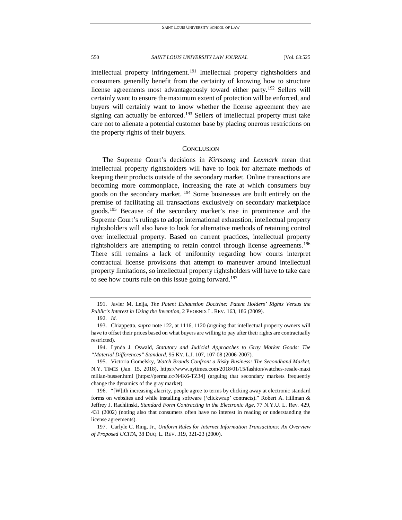intellectual property infringement.[191](#page-26-0) Intellectual property rightsholders and consumers generally benefit from the certainty of knowing how to structure license agreements most advantageously toward either party.<sup>[192](#page-26-1)</sup> Sellers will certainly want to ensure the maximum extent of protection will be enforced, and buyers will certainly want to know whether the license agreement they are signing can actually be enforced.<sup>[193](#page-26-2)</sup> Sellers of intellectual property must take care not to alienate a potential customer base by placing onerous restrictions on the property rights of their buyers.

#### **CONCLUSION**

The Supreme Court's decisions in *Kirtsaeng* and *Lexmark* mean that intellectual property rightsholders will have to look for alternate methods of keeping their products outside of the secondary market. Online transactions are becoming more commonplace, increasing the rate at which consumers buy goods on the secondary market. [194](#page-26-3) Some businesses are built entirely on the premise of facilitating all transactions exclusively on secondary marketplace goods.[195](#page-26-4) Because of the secondary market's rise in prominence and the Supreme Court's rulings to adopt international exhaustion, intellectual property rightsholders will also have to look for alternative methods of retaining control over intellectual property. Based on current practices, intellectual property rightsholders are attempting to retain control through license agreements.<sup>196</sup> There still remains a lack of uniformity regarding how courts interpret contractual license provisions that attempt to maneuver around intellectual property limitations, so intellectual property rightsholders will have to take care to see how courts rule on this issue going forward.<sup>[197](#page-26-6)</sup>

<span id="page-26-3"></span>194. Lynda J. Oswald, *[Statutory and Judicial Approaches to Gray Market Goods: The](https://1.next.westlaw.com/Link/Document/FullText?findType=Y&serNum=0329759922&pubNum=0001178&originatingDoc=Iba82c0ba05d211e598db8b09b4f043e0&refType=LR&originationContext=document&transitionType=DocumentItem&contextData=(sc.Search))  "Material Differences" Standard*, 95 KY. L.J. [107, 107-08 \(2006-2007\).](https://1.next.westlaw.com/Link/Document/FullText?findType=Y&serNum=0329759922&pubNum=0001178&originatingDoc=Iba82c0ba05d211e598db8b09b4f043e0&refType=LR&originationContext=document&transitionType=DocumentItem&contextData=(sc.Search))

<span id="page-26-0"></span><sup>191.</sup> Javier M. Leija, *The Patent Exhaustion Doctrine: Patent Holders' Rights Versus the Public's Interest in Using the Invention*, 2 PHOENIX L. REV. 163, 186 (2009).

<sup>192</sup>*. Id.*

<span id="page-26-2"></span><span id="page-26-1"></span><sup>193.</sup> Chiappetta, *supra* note [122,](#page-15-7) at 1116, 1120 (arguing that intellectual property owners will have to offset their prices based on what buyers are willing to pay after their rights are contractually restricted).

<span id="page-26-4"></span><sup>195.</sup> Victoria Gomelsky, *Watch Brands Confront a Risky Business: The Secondhand Market*, N.Y. TIMES (Jan. 15, 2018), https://www.nytimes.com/2018/01/15/fashion/watches-resale-maxi milian-busser.html **[**https://perma.cc/N4K6-TZ34] (arguing that secondary markets frequently change the dynamics of the gray market).

<span id="page-26-5"></span><sup>196.</sup> "[W]ith increasing alacrity, people agree to terms by clicking away at electronic standard forms on websites and while installing software ('clickwrap' contracts)." Robert A. Hillman & Jeffrey J. Rachlinski, *Standard Form Contracting in the Electronic Age*, 77 N.Y.U. L. Rev. 429, 431 (2002) (noting also that consumers often have no interest in reading or understanding the license agreements).

<span id="page-26-6"></span><sup>197.</sup> Carlyle C. Ring, Jr., *Uniform Rules for Internet Information Transactions: An Overview of Proposed UCITA*, 38 DUQ. L. REV. 319, 321-23 (2000).